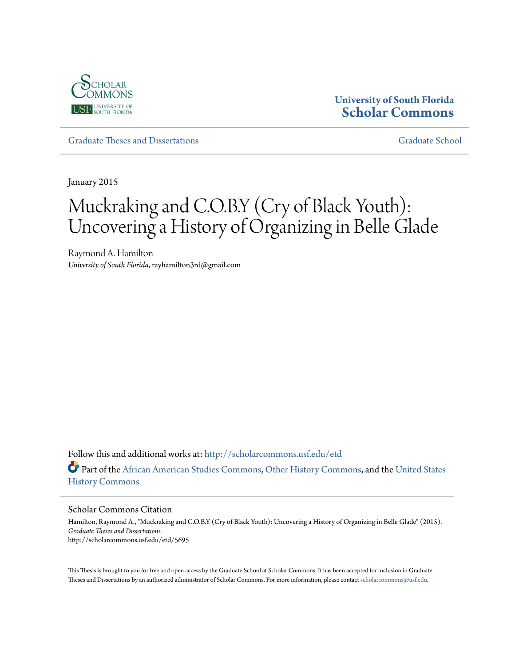

## **University of South Florida [Scholar Commons](http://scholarcommons.usf.edu?utm_source=scholarcommons.usf.edu%2Fetd%2F5695&utm_medium=PDF&utm_campaign=PDFCoverPages)**

[Graduate Theses and Dissertations](http://scholarcommons.usf.edu/etd?utm_source=scholarcommons.usf.edu%2Fetd%2F5695&utm_medium=PDF&utm_campaign=PDFCoverPages) [Graduate School](http://scholarcommons.usf.edu/grad?utm_source=scholarcommons.usf.edu%2Fetd%2F5695&utm_medium=PDF&utm_campaign=PDFCoverPages)

January 2015

# Muckraking and C.O.B.Y (Cry of Black Youth): Uncovering a History of Organizing in Belle Glade

Raymond A. Hamilton *University of South Florida*, rayhamilton3rd@gmail.com

Follow this and additional works at: [http://scholarcommons.usf.edu/etd](http://scholarcommons.usf.edu/etd?utm_source=scholarcommons.usf.edu%2Fetd%2F5695&utm_medium=PDF&utm_campaign=PDFCoverPages) Part of the [African American Studies Commons,](http://network.bepress.com/hgg/discipline/567?utm_source=scholarcommons.usf.edu%2Fetd%2F5695&utm_medium=PDF&utm_campaign=PDFCoverPages) [Other History Commons,](http://network.bepress.com/hgg/discipline/508?utm_source=scholarcommons.usf.edu%2Fetd%2F5695&utm_medium=PDF&utm_campaign=PDFCoverPages) and the [United States](http://network.bepress.com/hgg/discipline/495?utm_source=scholarcommons.usf.edu%2Fetd%2F5695&utm_medium=PDF&utm_campaign=PDFCoverPages) [History Commons](http://network.bepress.com/hgg/discipline/495?utm_source=scholarcommons.usf.edu%2Fetd%2F5695&utm_medium=PDF&utm_campaign=PDFCoverPages)

Scholar Commons Citation

Hamilton, Raymond A., "Muckraking and C.O.B.Y (Cry of Black Youth): Uncovering a History of Organizing in Belle Glade" (2015). *Graduate Theses and Dissertations.* http://scholarcommons.usf.edu/etd/5695

This Thesis is brought to you for free and open access by the Graduate School at Scholar Commons. It has been accepted for inclusion in Graduate Theses and Dissertations by an authorized administrator of Scholar Commons. For more information, please contact [scholarcommons@usf.edu.](mailto:scholarcommons@usf.edu)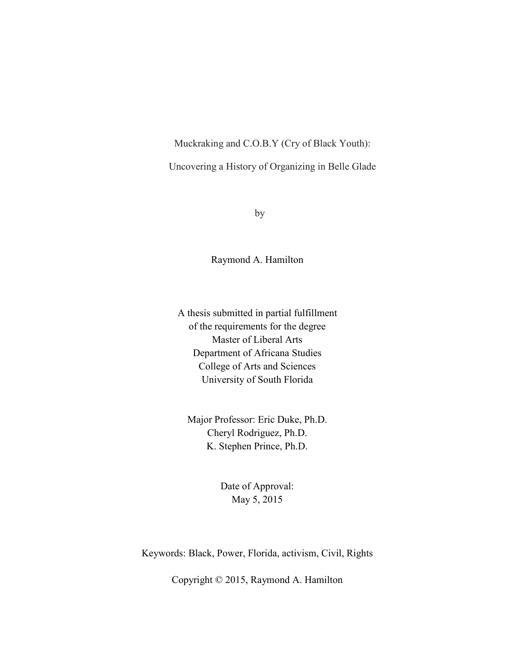Muckraking and C.O.B.Y (Cry of Black Youth):

Uncovering a History of Organizing in Belle Glade

by

Raymond A. Hamilton

A thesis submitted in partial fulfillment of the requirements for the degree Master of Liberal Arts Department of Africana Studies College of Arts and Sciences University of South Florida

Major Professor: Eric Duke, Ph.D. Cheryl Rodriguez, Ph.D. K. Stephen Prince, Ph.D.

> Date of Approval: May 5, 2015

Keywords: Black, Power, Florida, activism, Civil, Rights

Copyright © 2015, Raymond A. Hamilton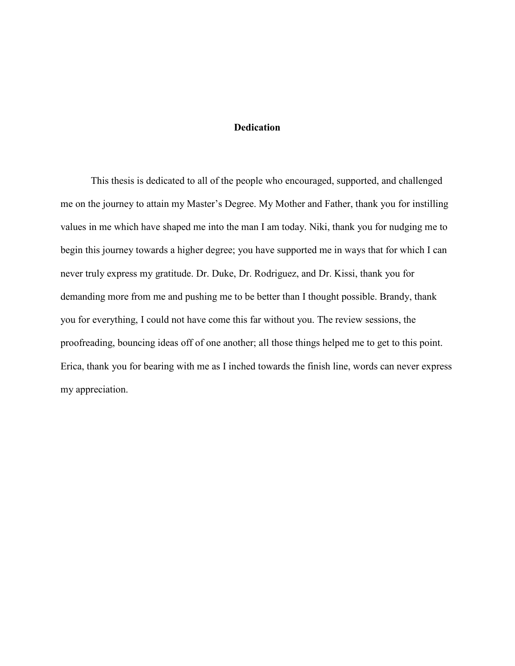#### **Dedication**

This thesis is dedicated to all of the people who encouraged, supported, and challenged me on the journey to attain my Master's Degree. My Mother and Father, thank you for instilling values in me which have shaped me into the man I am today. Niki, thank you for nudging me to begin this journey towards a higher degree; you have supported me in ways that for which I can never truly express my gratitude. Dr. Duke, Dr. Rodriguez, and Dr. Kissi, thank you for demanding more from me and pushing me to be better than I thought possible. Brandy, thank you for everything, I could not have come this far without you. The review sessions, the proofreading, bouncing ideas off of one another; all those things helped me to get to this point. Erica, thank you for bearing with me as I inched towards the finish line, words can never express my appreciation.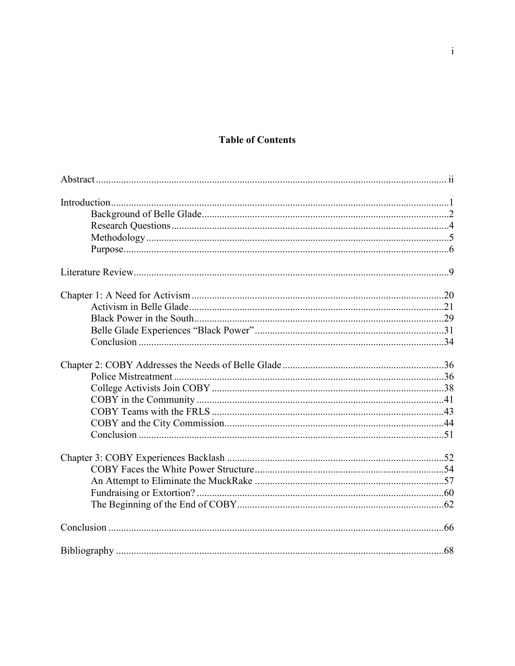## **Table of Contents**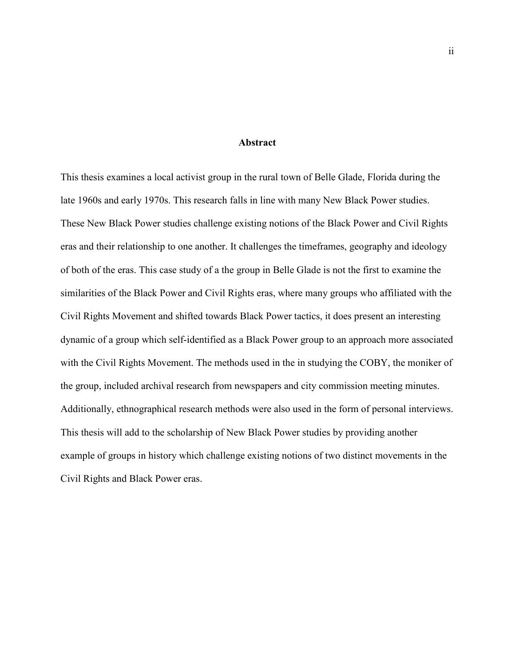#### **Abstract**

This thesis examines a local activist group in the rural town of Belle Glade, Florida during the late 1960s and early 1970s. This research falls in line with many New Black Power studies. These New Black Power studies challenge existing notions of the Black Power and Civil Rights eras and their relationship to one another. It challenges the timeframes, geography and ideology of both of the eras. This case study of a the group in Belle Glade is not the first to examine the similarities of the Black Power and Civil Rights eras, where many groups who affiliated with the Civil Rights Movement and shifted towards Black Power tactics, it does present an interesting dynamic of a group which self-identified as a Black Power group to an approach more associated with the Civil Rights Movement. The methods used in the in studying the COBY, the moniker of the group, included archival research from newspapers and city commission meeting minutes. Additionally, ethnographical research methods were also used in the form of personal interviews. This thesis will add to the scholarship of New Black Power studies by providing another example of groups in history which challenge existing notions of two distinct movements in the Civil Rights and Black Power eras.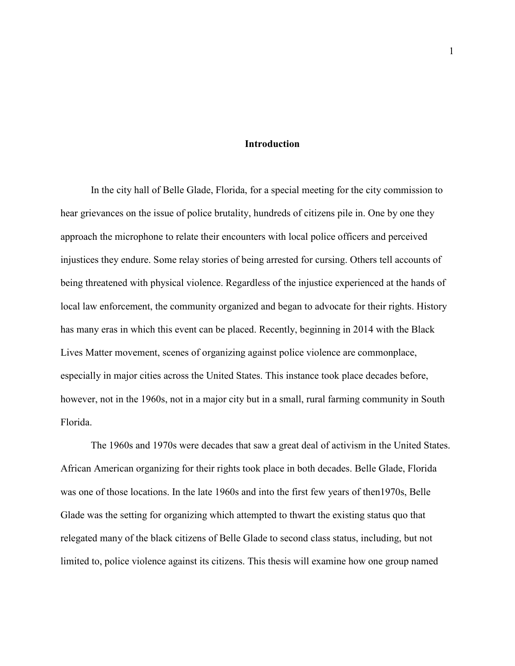#### **Introduction**

In the city hall of Belle Glade, Florida, for a special meeting for the city commission to hear grievances on the issue of police brutality, hundreds of citizens pile in. One by one they approach the microphone to relate their encounters with local police officers and perceived injustices they endure. Some relay stories of being arrested for cursing. Others tell accounts of being threatened with physical violence. Regardless of the injustice experienced at the hands of local law enforcement, the community organized and began to advocate for their rights. History has many eras in which this event can be placed. Recently, beginning in 2014 with the Black Lives Matter movement, scenes of organizing against police violence are commonplace, especially in major cities across the United States. This instance took place decades before, however, not in the 1960s, not in a major city but in a small, rural farming community in South Florida.

The 1960s and 1970s were decades that saw a great deal of activism in the United States. African American organizing for their rights took place in both decades. Belle Glade, Florida was one of those locations. In the late 1960s and into the first few years of then1970s, Belle Glade was the setting for organizing which attempted to thwart the existing status quo that relegated many of the black citizens of Belle Glade to second class status, including, but not limited to, police violence against its citizens. This thesis will examine how one group named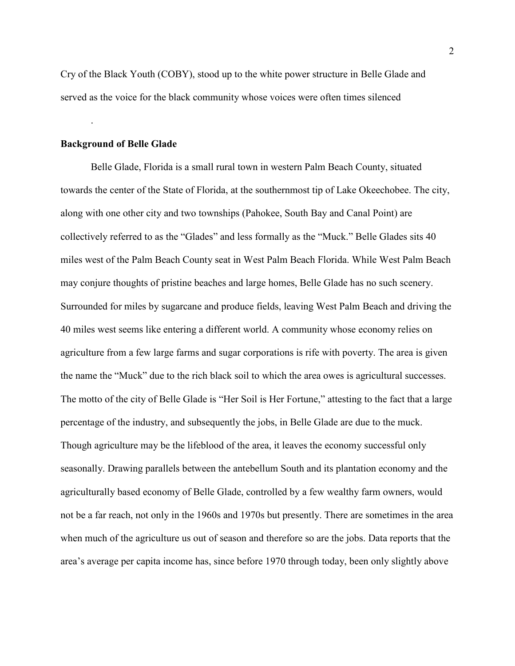Cry of the Black Youth (COBY), stood up to the white power structure in Belle Glade and served as the voice for the black community whose voices were often times silenced

#### **Background of Belle Glade**

.

Belle Glade, Florida is a small rural town in western Palm Beach County, situated towards the center of the State of Florida, at the southernmost tip of Lake Okeechobee. The city, along with one other city and two townships (Pahokee, South Bay and Canal Point) are collectively referred to as the "Glades" and less formally as the "Muck." Belle Glades sits 40 miles west of the Palm Beach County seat in West Palm Beach Florida. While West Palm Beach may conjure thoughts of pristine beaches and large homes, Belle Glade has no such scenery. Surrounded for miles by sugarcane and produce fields, leaving West Palm Beach and driving the 40 miles west seems like entering a different world. A community whose economy relies on agriculture from a few large farms and sugar corporations is rife with poverty. The area is given the name the "Muck" due to the rich black soil to which the area owes is agricultural successes. The motto of the city of Belle Glade is "Her Soil is Her Fortune," attesting to the fact that a large percentage of the industry, and subsequently the jobs, in Belle Glade are due to the muck. Though agriculture may be the lifeblood of the area, it leaves the economy successful only seasonally. Drawing parallels between the antebellum South and its plantation economy and the agriculturally based economy of Belle Glade, controlled by a few wealthy farm owners, would not be a far reach, not only in the 1960s and 1970s but presently. There are sometimes in the area when much of the agriculture us out of season and therefore so are the jobs. Data reports that the area's average per capita income has, since before 1970 through today, been only slightly above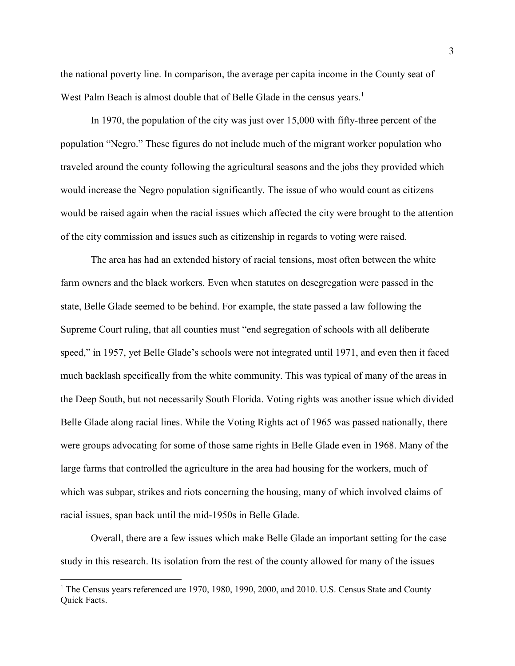the national poverty line. In comparison, the average per capita income in the County seat of West Palm Beach is almost double that of Belle Glade in the census years.<sup>1</sup>

In 1970, the population of the city was just over 15,000 with fifty-three percent of the population "Negro." These figures do not include much of the migrant worker population who traveled around the county following the agricultural seasons and the jobs they provided which would increase the Negro population significantly. The issue of who would count as citizens would be raised again when the racial issues which affected the city were brought to the attention of the city commission and issues such as citizenship in regards to voting were raised.

The area has had an extended history of racial tensions, most often between the white farm owners and the black workers. Even when statutes on desegregation were passed in the state, Belle Glade seemed to be behind. For example, the state passed a law following the Supreme Court ruling, that all counties must "end segregation of schools with all deliberate speed," in 1957, yet Belle Glade's schools were not integrated until 1971, and even then it faced much backlash specifically from the white community. This was typical of many of the areas in the Deep South, but not necessarily South Florida. Voting rights was another issue which divided Belle Glade along racial lines. While the Voting Rights act of 1965 was passed nationally, there were groups advocating for some of those same rights in Belle Glade even in 1968. Many of the large farms that controlled the agriculture in the area had housing for the workers, much of which was subpar, strikes and riots concerning the housing, many of which involved claims of racial issues, span back until the mid-1950s in Belle Glade.

Overall, there are a few issues which make Belle Glade an important setting for the case study in this research. Its isolation from the rest of the county allowed for many of the issues

 $\overline{a}$ 

<sup>&</sup>lt;sup>1</sup> The Census years referenced are 1970, 1980, 1990, 2000, and 2010. U.S. Census State and County Quick Facts.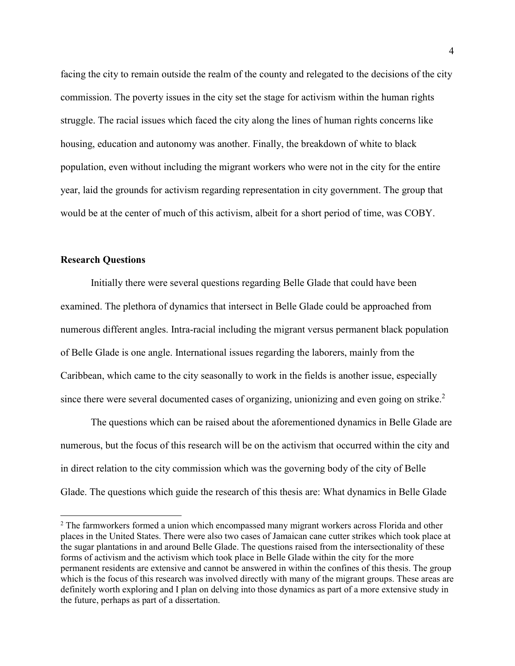facing the city to remain outside the realm of the county and relegated to the decisions of the city commission. The poverty issues in the city set the stage for activism within the human rights struggle. The racial issues which faced the city along the lines of human rights concerns like housing, education and autonomy was another. Finally, the breakdown of white to black population, even without including the migrant workers who were not in the city for the entire year, laid the grounds for activism regarding representation in city government. The group that would be at the center of much of this activism, albeit for a short period of time, was COBY.

#### **Research Questions**

l

 Initially there were several questions regarding Belle Glade that could have been examined. The plethora of dynamics that intersect in Belle Glade could be approached from numerous different angles. Intra-racial including the migrant versus permanent black population of Belle Glade is one angle. International issues regarding the laborers, mainly from the Caribbean, which came to the city seasonally to work in the fields is another issue, especially since there were several documented cases of organizing, unionizing and even going on strike.<sup>2</sup>

 The questions which can be raised about the aforementioned dynamics in Belle Glade are numerous, but the focus of this research will be on the activism that occurred within the city and in direct relation to the city commission which was the governing body of the city of Belle Glade. The questions which guide the research of this thesis are: What dynamics in Belle Glade

<sup>&</sup>lt;sup>2</sup> The farmworkers formed a union which encompassed many migrant workers across Florida and other places in the United States. There were also two cases of Jamaican cane cutter strikes which took place at the sugar plantations in and around Belle Glade. The questions raised from the intersectionality of these forms of activism and the activism which took place in Belle Glade within the city for the more permanent residents are extensive and cannot be answered in within the confines of this thesis. The group which is the focus of this research was involved directly with many of the migrant groups. These areas are definitely worth exploring and I plan on delving into those dynamics as part of a more extensive study in the future, perhaps as part of a dissertation.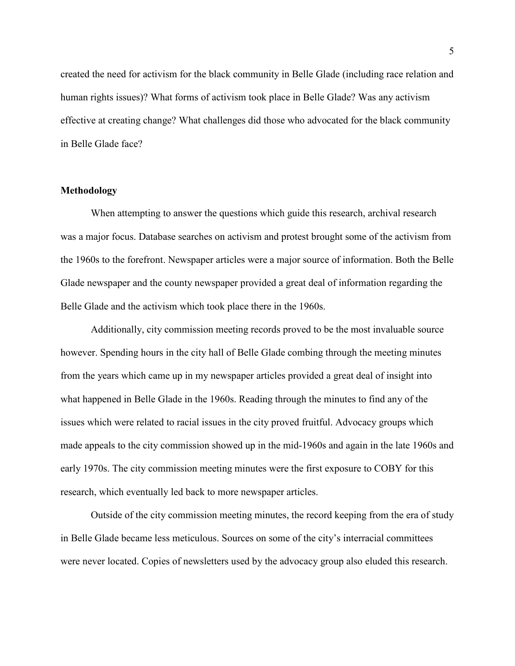created the need for activism for the black community in Belle Glade (including race relation and human rights issues)? What forms of activism took place in Belle Glade? Was any activism effective at creating change? What challenges did those who advocated for the black community in Belle Glade face?

#### **Methodology**

 When attempting to answer the questions which guide this research, archival research was a major focus. Database searches on activism and protest brought some of the activism from the 1960s to the forefront. Newspaper articles were a major source of information. Both the Belle Glade newspaper and the county newspaper provided a great deal of information regarding the Belle Glade and the activism which took place there in the 1960s.

Additionally, city commission meeting records proved to be the most invaluable source however. Spending hours in the city hall of Belle Glade combing through the meeting minutes from the years which came up in my newspaper articles provided a great deal of insight into what happened in Belle Glade in the 1960s. Reading through the minutes to find any of the issues which were related to racial issues in the city proved fruitful. Advocacy groups which made appeals to the city commission showed up in the mid-1960s and again in the late 1960s and early 1970s. The city commission meeting minutes were the first exposure to COBY for this research, which eventually led back to more newspaper articles.

Outside of the city commission meeting minutes, the record keeping from the era of study in Belle Glade became less meticulous. Sources on some of the city's interracial committees were never located. Copies of newsletters used by the advocacy group also eluded this research.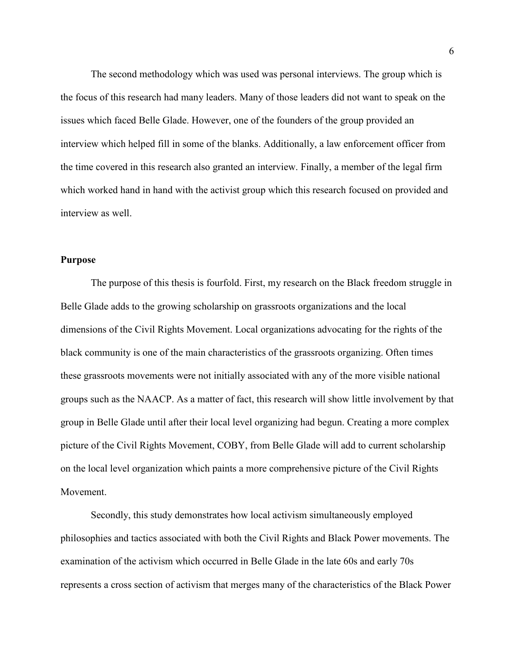The second methodology which was used was personal interviews. The group which is the focus of this research had many leaders. Many of those leaders did not want to speak on the issues which faced Belle Glade. However, one of the founders of the group provided an interview which helped fill in some of the blanks. Additionally, a law enforcement officer from the time covered in this research also granted an interview. Finally, a member of the legal firm which worked hand in hand with the activist group which this research focused on provided and interview as well.

#### **Purpose**

The purpose of this thesis is fourfold. First, my research on the Black freedom struggle in Belle Glade adds to the growing scholarship on grassroots organizations and the local dimensions of the Civil Rights Movement. Local organizations advocating for the rights of the black community is one of the main characteristics of the grassroots organizing. Often times these grassroots movements were not initially associated with any of the more visible national groups such as the NAACP. As a matter of fact, this research will show little involvement by that group in Belle Glade until after their local level organizing had begun. Creating a more complex picture of the Civil Rights Movement, COBY, from Belle Glade will add to current scholarship on the local level organization which paints a more comprehensive picture of the Civil Rights Movement.

Secondly, this study demonstrates how local activism simultaneously employed philosophies and tactics associated with both the Civil Rights and Black Power movements. The examination of the activism which occurred in Belle Glade in the late 60s and early 70s represents a cross section of activism that merges many of the characteristics of the Black Power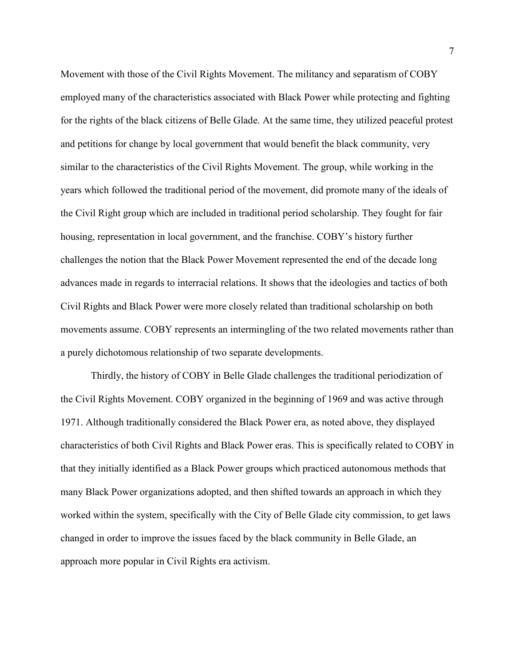Movement with those of the Civil Rights Movement. The militancy and separatism of COBY employed many of the characteristics associated with Black Power while protecting and fighting for the rights of the black citizens of Belle Glade. At the same time, they utilized peaceful protest and petitions for change by local government that would benefit the black community, very similar to the characteristics of the Civil Rights Movement. The group, while working in the years which followed the traditional period of the movement, did promote many of the ideals of the Civil Right group which are included in traditional period scholarship. They fought for fair housing, representation in local government, and the franchise. COBY's history further challenges the notion that the Black Power Movement represented the end of the decade long advances made in regards to interracial relations. It shows that the ideologies and tactics of both Civil Rights and Black Power were more closely related than traditional scholarship on both movements assume. COBY represents an intermingling of the two related movements rather than a purely dichotomous relationship of two separate developments.

Thirdly, the history of COBY in Belle Glade challenges the traditional periodization of the Civil Rights Movement. COBY organized in the beginning of 1969 and was active through 1971. Although traditionally considered the Black Power era, as noted above, they displayed characteristics of both Civil Rights and Black Power eras. This is specifically related to COBY in that they initially identified as a Black Power groups which practiced autonomous methods that many Black Power organizations adopted, and then shifted towards an approach in which they worked within the system, specifically with the City of Belle Glade city commission, to get laws changed in order to improve the issues faced by the black community in Belle Glade, an approach more popular in Civil Rights era activism.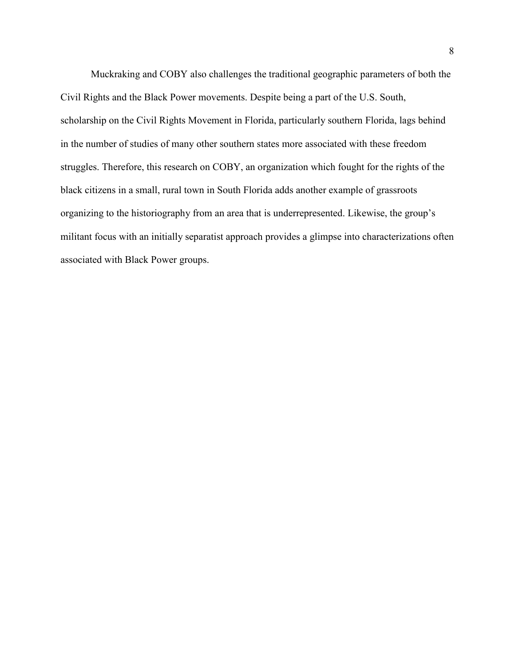Muckraking and COBY also challenges the traditional geographic parameters of both the Civil Rights and the Black Power movements. Despite being a part of the U.S. South, scholarship on the Civil Rights Movement in Florida, particularly southern Florida, lags behind in the number of studies of many other southern states more associated with these freedom struggles. Therefore, this research on COBY, an organization which fought for the rights of the black citizens in a small, rural town in South Florida adds another example of grassroots organizing to the historiography from an area that is underrepresented. Likewise, the group's militant focus with an initially separatist approach provides a glimpse into characterizations often associated with Black Power groups.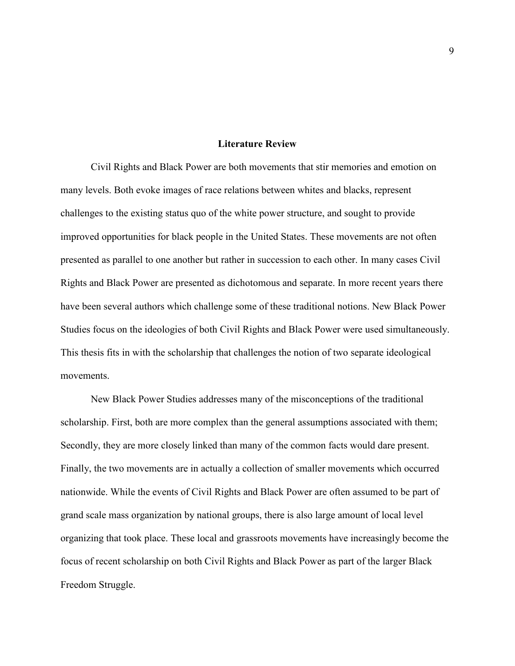#### **Literature Review**

Civil Rights and Black Power are both movements that stir memories and emotion on many levels. Both evoke images of race relations between whites and blacks, represent challenges to the existing status quo of the white power structure, and sought to provide improved opportunities for black people in the United States. These movements are not often presented as parallel to one another but rather in succession to each other. In many cases Civil Rights and Black Power are presented as dichotomous and separate. In more recent years there have been several authors which challenge some of these traditional notions. New Black Power Studies focus on the ideologies of both Civil Rights and Black Power were used simultaneously. This thesis fits in with the scholarship that challenges the notion of two separate ideological movements.

New Black Power Studies addresses many of the misconceptions of the traditional scholarship. First, both are more complex than the general assumptions associated with them; Secondly, they are more closely linked than many of the common facts would dare present. Finally, the two movements are in actually a collection of smaller movements which occurred nationwide. While the events of Civil Rights and Black Power are often assumed to be part of grand scale mass organization by national groups, there is also large amount of local level organizing that took place. These local and grassroots movements have increasingly become the focus of recent scholarship on both Civil Rights and Black Power as part of the larger Black Freedom Struggle.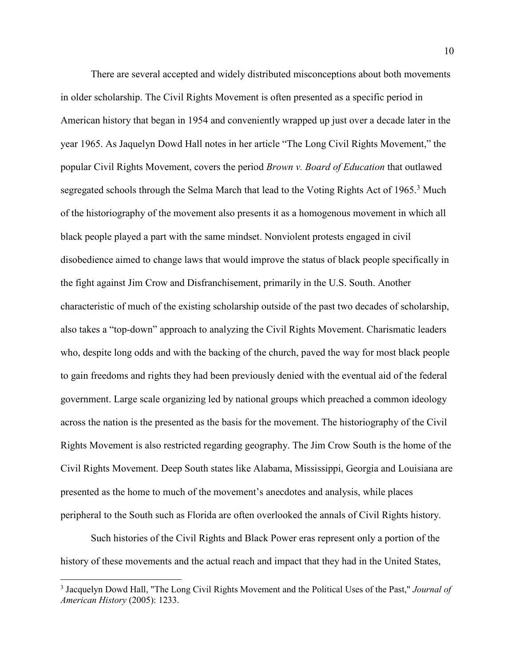There are several accepted and widely distributed misconceptions about both movements in older scholarship. The Civil Rights Movement is often presented as a specific period in American history that began in 1954 and conveniently wrapped up just over a decade later in the year 1965. As Jaquelyn Dowd Hall notes in her article "The Long Civil Rights Movement," the popular Civil Rights Movement, covers the period *Brown v. Board of Education* that outlawed segregated schools through the Selma March that lead to the Voting Rights Act of 1965.<sup>3</sup> Much of the historiography of the movement also presents it as a homogenous movement in which all black people played a part with the same mindset. Nonviolent protests engaged in civil disobedience aimed to change laws that would improve the status of black people specifically in the fight against Jim Crow and Disfranchisement, primarily in the U.S. South. Another characteristic of much of the existing scholarship outside of the past two decades of scholarship, also takes a "top-down" approach to analyzing the Civil Rights Movement. Charismatic leaders who, despite long odds and with the backing of the church, paved the way for most black people to gain freedoms and rights they had been previously denied with the eventual aid of the federal government. Large scale organizing led by national groups which preached a common ideology across the nation is the presented as the basis for the movement. The historiography of the Civil Rights Movement is also restricted regarding geography. The Jim Crow South is the home of the Civil Rights Movement. Deep South states like Alabama, Mississippi, Georgia and Louisiana are presented as the home to much of the movement's anecdotes and analysis, while places peripheral to the South such as Florida are often overlooked the annals of Civil Rights history.

Such histories of the Civil Rights and Black Power eras represent only a portion of the history of these movements and the actual reach and impact that they had in the United States,

 $\overline{a}$ 

<sup>3</sup> Jacquelyn Dowd Hall, "The Long Civil Rights Movement and the Political Uses of the Past," *Journal of American History* (2005): 1233.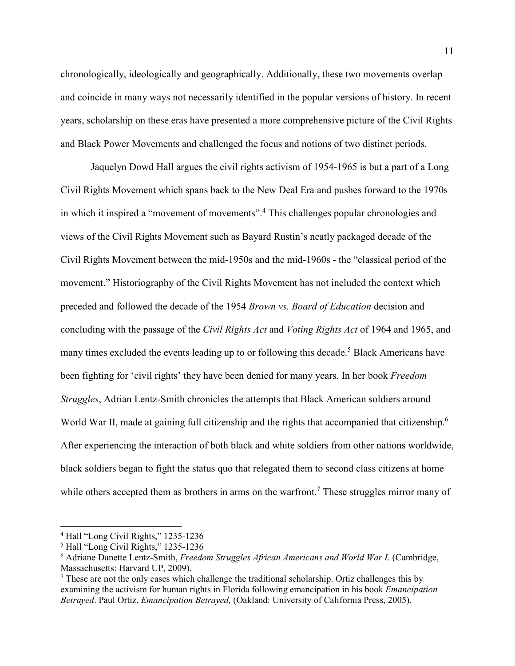chronologically, ideologically and geographically. Additionally, these two movements overlap and coincide in many ways not necessarily identified in the popular versions of history. In recent years, scholarship on these eras have presented a more comprehensive picture of the Civil Rights and Black Power Movements and challenged the focus and notions of two distinct periods.

Jaquelyn Dowd Hall argues the civil rights activism of 1954-1965 is but a part of a Long Civil Rights Movement which spans back to the New Deal Era and pushes forward to the 1970s in which it inspired a "movement of movements".<sup>4</sup> This challenges popular chronologies and views of the Civil Rights Movement such as Bayard Rustin's neatly packaged decade of the Civil Rights Movement between the mid-1950s and the mid-1960s - the "classical period of the movement." Historiography of the Civil Rights Movement has not included the context which preceded and followed the decade of the 1954 *Brown vs. Board of Education* decision and concluding with the passage of the *Civil Rights Act* and *Voting Rights Act* of 1964 and 1965, and many times excluded the events leading up to or following this decade.<sup>5</sup> Black Americans have been fighting for 'civil rights' they have been denied for many years. In her book *Freedom Struggles*, Adrian Lentz-Smith chronicles the attempts that Black American soldiers around World War II, made at gaining full citizenship and the rights that accompanied that citizenship.<sup>6</sup> After experiencing the interaction of both black and white soldiers from other nations worldwide, black soldiers began to fight the status quo that relegated them to second class citizens at home while others accepted them as brothers in arms on the warfront.<sup>7</sup> These struggles mirror many of

<sup>4</sup> Hall "Long Civil Rights," 1235-1236

<sup>5</sup> Hall "Long Civil Rights," 1235-1236

<sup>6</sup> Adriane Danette Lentz-Smith, *Freedom Struggles African Americans and World War I*. (Cambridge, Massachusetts: Harvard UP, 2009).

<sup>&</sup>lt;sup>7</sup> These are not the only cases which challenge the traditional scholarship. Ortiz challenges this by examining the activism for human rights in Florida following emancipation in his book *Emancipation Betrayed*. Paul Ortiz, *Emancipation Betrayed,* (Oakland: University of California Press, 2005).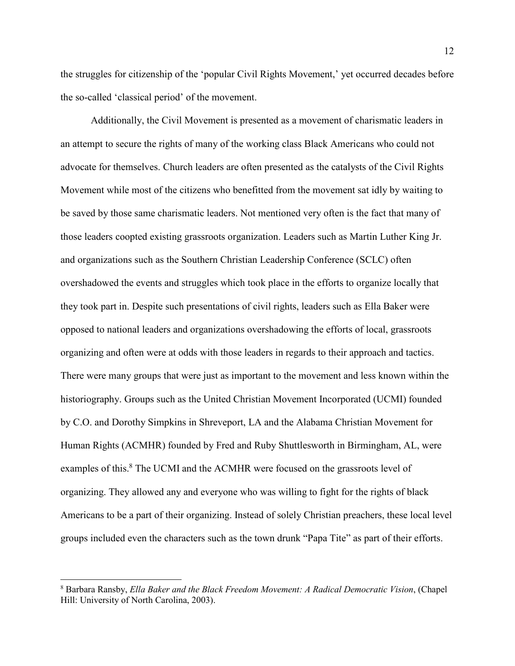the struggles for citizenship of the 'popular Civil Rights Movement,' yet occurred decades before the so-called 'classical period' of the movement.

Additionally, the Civil Movement is presented as a movement of charismatic leaders in an attempt to secure the rights of many of the working class Black Americans who could not advocate for themselves. Church leaders are often presented as the catalysts of the Civil Rights Movement while most of the citizens who benefitted from the movement sat idly by waiting to be saved by those same charismatic leaders. Not mentioned very often is the fact that many of those leaders coopted existing grassroots organization. Leaders such as Martin Luther King Jr. and organizations such as the Southern Christian Leadership Conference (SCLC) often overshadowed the events and struggles which took place in the efforts to organize locally that they took part in. Despite such presentations of civil rights, leaders such as Ella Baker were opposed to national leaders and organizations overshadowing the efforts of local, grassroots organizing and often were at odds with those leaders in regards to their approach and tactics. There were many groups that were just as important to the movement and less known within the historiography. Groups such as the United Christian Movement Incorporated (UCMI) founded by C.O. and Dorothy Simpkins in Shreveport, LA and the Alabama Christian Movement for Human Rights (ACMHR) founded by Fred and Ruby Shuttlesworth in Birmingham, AL, were examples of this.<sup>8</sup> The UCMI and the ACMHR were focused on the grassroots level of organizing. They allowed any and everyone who was willing to fight for the rights of black Americans to be a part of their organizing. Instead of solely Christian preachers, these local level groups included even the characters such as the town drunk "Papa Tite" as part of their efforts.

 $\overline{a}$ 

<sup>8</sup> Barbara Ransby, *Ella Baker and the Black Freedom Movement: A Radical Democratic Vision*, (Chapel Hill: University of North Carolina, 2003).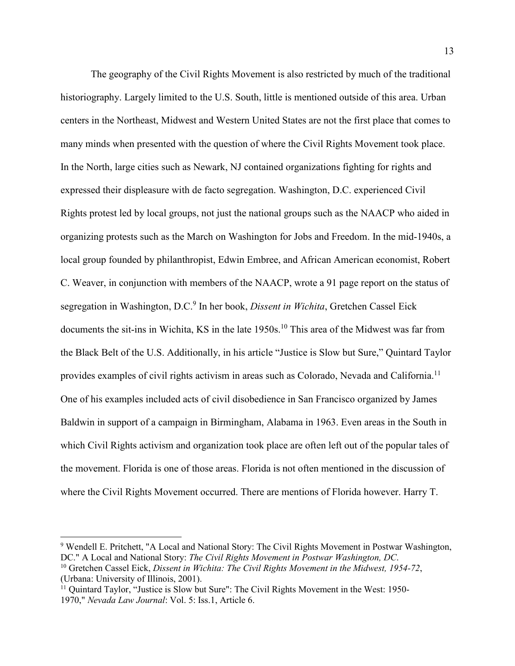The geography of the Civil Rights Movement is also restricted by much of the traditional historiography. Largely limited to the U.S. South, little is mentioned outside of this area. Urban centers in the Northeast, Midwest and Western United States are not the first place that comes to many minds when presented with the question of where the Civil Rights Movement took place. In the North, large cities such as Newark, NJ contained organizations fighting for rights and expressed their displeasure with de facto segregation. Washington, D.C. experienced Civil Rights protest led by local groups, not just the national groups such as the NAACP who aided in organizing protests such as the March on Washington for Jobs and Freedom. In the mid-1940s, a local group founded by philanthropist, Edwin Embree, and African American economist, Robert C. Weaver, in conjunction with members of the NAACP, wrote a 91 page report on the status of segregation in Washington, D.C.<sup>9</sup> In her book, *Dissent in Wichita*, Gretchen Cassel Eick documents the sit-ins in Wichita, KS in the late 1950s.<sup>10</sup> This area of the Midwest was far from the Black Belt of the U.S. Additionally, in his article "Justice is Slow but Sure," Quintard Taylor provides examples of civil rights activism in areas such as Colorado, Nevada and California.<sup>11</sup> One of his examples included acts of civil disobedience in San Francisco organized by James Baldwin in support of a campaign in Birmingham, Alabama in 1963. Even areas in the South in which Civil Rights activism and organization took place are often left out of the popular tales of the movement. Florida is one of those areas. Florida is not often mentioned in the discussion of where the Civil Rights Movement occurred. There are mentions of Florida however. Harry T.

<sup>&</sup>lt;sup>9</sup> Wendell E. Pritchett, "A Local and National Story: The Civil Rights Movement in Postwar Washington, DC." A Local and National Story: *The Civil Rights Movement in Postwar Washington, DC*.

<sup>10</sup> Gretchen Cassel Eick, *Dissent in Wichita: The Civil Rights Movement in the Midwest, 1954-72*, (Urbana: University of Illinois, 2001).

 $11$  Quintard Taylor, "Justice is Slow but Sure": The Civil Rights Movement in the West: 1950-1970," *Nevada Law Journal*: Vol. 5: Iss.1, Article 6.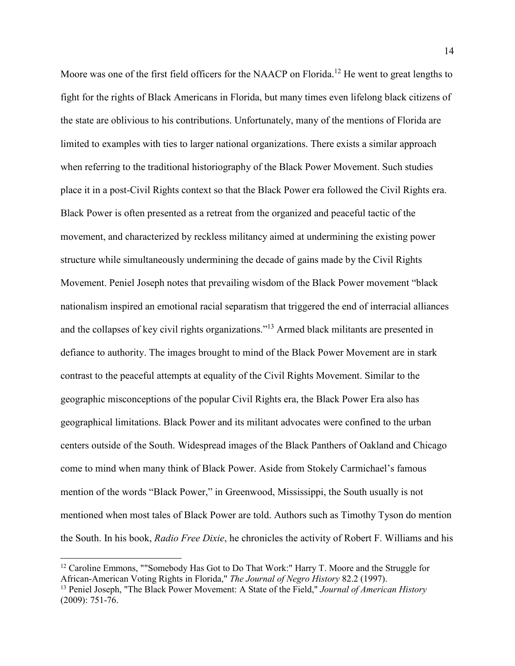Moore was one of the first field officers for the NAACP on Florida.<sup>12</sup> He went to great lengths to fight for the rights of Black Americans in Florida, but many times even lifelong black citizens of the state are oblivious to his contributions. Unfortunately, many of the mentions of Florida are limited to examples with ties to larger national organizations. There exists a similar approach when referring to the traditional historiography of the Black Power Movement. Such studies place it in a post-Civil Rights context so that the Black Power era followed the Civil Rights era. Black Power is often presented as a retreat from the organized and peaceful tactic of the movement, and characterized by reckless militancy aimed at undermining the existing power structure while simultaneously undermining the decade of gains made by the Civil Rights Movement. Peniel Joseph notes that prevailing wisdom of the Black Power movement "black nationalism inspired an emotional racial separatism that triggered the end of interracial alliances and the collapses of key civil rights organizations."<sup>13</sup> Armed black militants are presented in defiance to authority. The images brought to mind of the Black Power Movement are in stark contrast to the peaceful attempts at equality of the Civil Rights Movement. Similar to the geographic misconceptions of the popular Civil Rights era, the Black Power Era also has geographical limitations. Black Power and its militant advocates were confined to the urban centers outside of the South. Widespread images of the Black Panthers of Oakland and Chicago come to mind when many think of Black Power. Aside from Stokely Carmichael's famous mention of the words "Black Power," in Greenwood, Mississippi, the South usually is not mentioned when most tales of Black Power are told. Authors such as Timothy Tyson do mention the South. In his book, *Radio Free Dixie*, he chronicles the activity of Robert F. Williams and his

<sup>&</sup>lt;sup>12</sup> Caroline Emmons, ""Somebody Has Got to Do That Work:" Harry T. Moore and the Struggle for African-American Voting Rights in Florida," *The Journal of Negro History* 82.2 (1997).

<sup>13</sup> Peniel Joseph, "The Black Power Movement: A State of the Field," *Journal of American History* (2009): 751-76.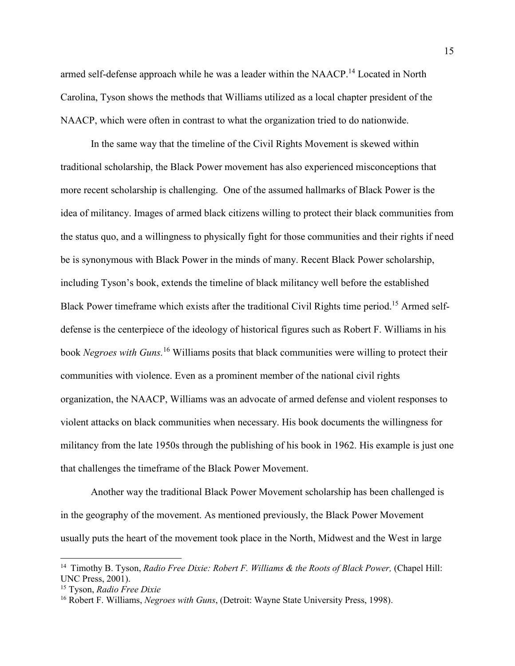armed self-defense approach while he was a leader within the NAACP.<sup>14</sup> Located in North Carolina, Tyson shows the methods that Williams utilized as a local chapter president of the NAACP, which were often in contrast to what the organization tried to do nationwide.

In the same way that the timeline of the Civil Rights Movement is skewed within traditional scholarship, the Black Power movement has also experienced misconceptions that more recent scholarship is challenging. One of the assumed hallmarks of Black Power is the idea of militancy. Images of armed black citizens willing to protect their black communities from the status quo, and a willingness to physically fight for those communities and their rights if need be is synonymous with Black Power in the minds of many. Recent Black Power scholarship, including Tyson's book, extends the timeline of black militancy well before the established Black Power timeframe which exists after the traditional Civil Rights time period.<sup>15</sup> Armed selfdefense is the centerpiece of the ideology of historical figures such as Robert F. Williams in his book *Negroes with Guns.*<sup>16</sup> Williams posits that black communities were willing to protect their communities with violence. Even as a prominent member of the national civil rights organization, the NAACP, Williams was an advocate of armed defense and violent responses to violent attacks on black communities when necessary. His book documents the willingness for militancy from the late 1950s through the publishing of his book in 1962. His example is just one that challenges the timeframe of the Black Power Movement.

Another way the traditional Black Power Movement scholarship has been challenged is in the geography of the movement. As mentioned previously, the Black Power Movement usually puts the heart of the movement took place in the North, Midwest and the West in large

<sup>&</sup>lt;sup>14</sup> Timothy B. Tyson, *Radio Free Dixie: Robert F. Williams & the Roots of Black Power*, (Chapel Hill: UNC Press, 2001).

<sup>15</sup> Tyson, *Radio Free Dixie*

<sup>16</sup> Robert F. Williams, *Negroes with Guns*, (Detroit: Wayne State University Press, 1998).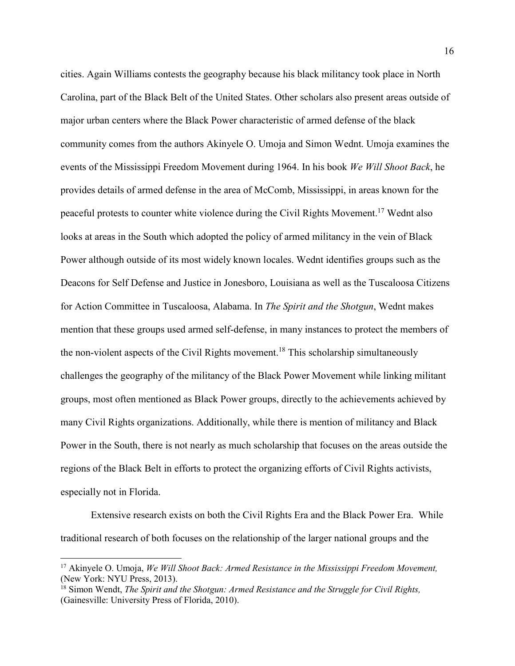cities. Again Williams contests the geography because his black militancy took place in North Carolina, part of the Black Belt of the United States. Other scholars also present areas outside of major urban centers where the Black Power characteristic of armed defense of the black community comes from the authors Akinyele O. Umoja and Simon Wednt. Umoja examines the events of the Mississippi Freedom Movement during 1964. In his book *We Will Shoot Back*, he provides details of armed defense in the area of McComb, Mississippi, in areas known for the peaceful protests to counter white violence during the Civil Rights Movement.<sup>17</sup> Wednt also looks at areas in the South which adopted the policy of armed militancy in the vein of Black Power although outside of its most widely known locales. Wednt identifies groups such as the Deacons for Self Defense and Justice in Jonesboro, Louisiana as well as the Tuscaloosa Citizens for Action Committee in Tuscaloosa, Alabama. In *The Spirit and the Shotgun*, Wednt makes mention that these groups used armed self-defense, in many instances to protect the members of the non-violent aspects of the Civil Rights movement.<sup>18</sup> This scholarship simultaneously challenges the geography of the militancy of the Black Power Movement while linking militant groups, most often mentioned as Black Power groups, directly to the achievements achieved by many Civil Rights organizations. Additionally, while there is mention of militancy and Black Power in the South, there is not nearly as much scholarship that focuses on the areas outside the regions of the Black Belt in efforts to protect the organizing efforts of Civil Rights activists, especially not in Florida.

Extensive research exists on both the Civil Rights Era and the Black Power Era. While traditional research of both focuses on the relationship of the larger national groups and the

<sup>17</sup> Akinyele O. Umoja, *We Will Shoot Back: Armed Resistance in the Mississippi Freedom Movement,*  (New York: NYU Press, 2013).

<sup>&</sup>lt;sup>18</sup> Simon Wendt, *The Spirit and the Shotgun: Armed Resistance and the Struggle for Civil Rights,* (Gainesville: University Press of Florida, 2010).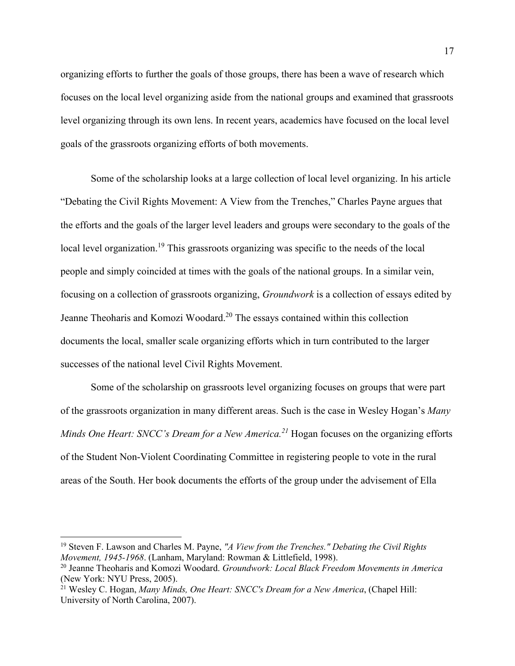organizing efforts to further the goals of those groups, there has been a wave of research which focuses on the local level organizing aside from the national groups and examined that grassroots level organizing through its own lens. In recent years, academics have focused on the local level goals of the grassroots organizing efforts of both movements.

Some of the scholarship looks at a large collection of local level organizing. In his article "Debating the Civil Rights Movement: A View from the Trenches," Charles Payne argues that the efforts and the goals of the larger level leaders and groups were secondary to the goals of the local level organization.<sup>19</sup> This grassroots organizing was specific to the needs of the local people and simply coincided at times with the goals of the national groups. In a similar vein, focusing on a collection of grassroots organizing, *Groundwork* is a collection of essays edited by Jeanne Theoharis and Komozi Woodard.<sup>20</sup> The essays contained within this collection documents the local, smaller scale organizing efforts which in turn contributed to the larger successes of the national level Civil Rights Movement.

Some of the scholarship on grassroots level organizing focuses on groups that were part of the grassroots organization in many different areas. Such is the case in Wesley Hogan's *Many Minds One Heart: SNCC's Dream for a New America.<sup>21</sup>* Hogan focuses on the organizing efforts of the Student Non-Violent Coordinating Committee in registering people to vote in the rural areas of the South. Her book documents the efforts of the group under the advisement of Ella

<sup>19</sup> Steven F. Lawson and Charles M. Payne, *"A View from the Trenches." Debating the Civil Rights Movement, 1945-1968*. (Lanham, Maryland: Rowman & Littlefield, 1998).

<sup>20</sup> Jeanne Theoharis and Komozi Woodard. *Groundwork: Local Black Freedom Movements in America* (New York: NYU Press, 2005).

<sup>21</sup> Wesley C. Hogan, *Many Minds, One Heart: SNCC's Dream for a New America*, (Chapel Hill: University of North Carolina, 2007).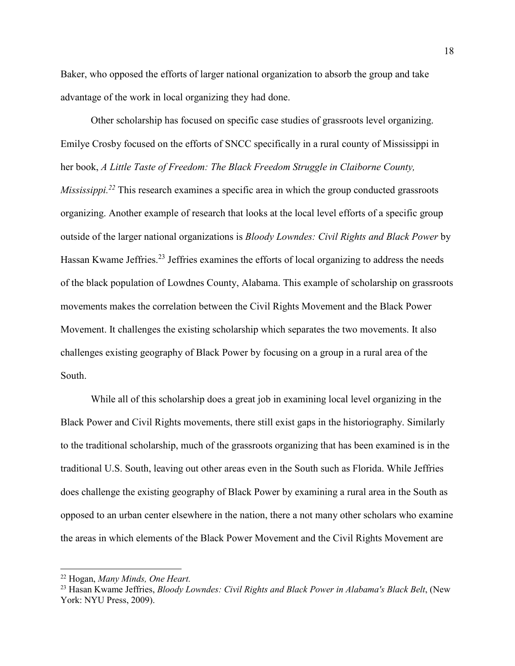Baker, who opposed the efforts of larger national organization to absorb the group and take advantage of the work in local organizing they had done.

Other scholarship has focused on specific case studies of grassroots level organizing. Emilye Crosby focused on the efforts of SNCC specifically in a rural county of Mississippi in her book, *A Little Taste of Freedom: The Black Freedom Struggle in Claiborne County, Mississippi.*<sup>22</sup> This research examines a specific area in which the group conducted grassroots organizing. Another example of research that looks at the local level efforts of a specific group outside of the larger national organizations is *Bloody Lowndes: Civil Rights and Black Power* by Hassan Kwame Jeffries.<sup>23</sup> Jeffries examines the efforts of local organizing to address the needs of the black population of Lowdnes County, Alabama. This example of scholarship on grassroots movements makes the correlation between the Civil Rights Movement and the Black Power Movement. It challenges the existing scholarship which separates the two movements. It also challenges existing geography of Black Power by focusing on a group in a rural area of the South.

While all of this scholarship does a great job in examining local level organizing in the Black Power and Civil Rights movements, there still exist gaps in the historiography. Similarly to the traditional scholarship, much of the grassroots organizing that has been examined is in the traditional U.S. South, leaving out other areas even in the South such as Florida. While Jeffries does challenge the existing geography of Black Power by examining a rural area in the South as opposed to an urban center elsewhere in the nation, there a not many other scholars who examine the areas in which elements of the Black Power Movement and the Civil Rights Movement are

<sup>22</sup> Hogan, *Many Minds, One Heart.* 

<sup>&</sup>lt;sup>23</sup> Hasan Kwame Jeffries, *Bloody Lowndes: Civil Rights and Black Power in Alabama's Black Belt*, (New York: NYU Press, 2009).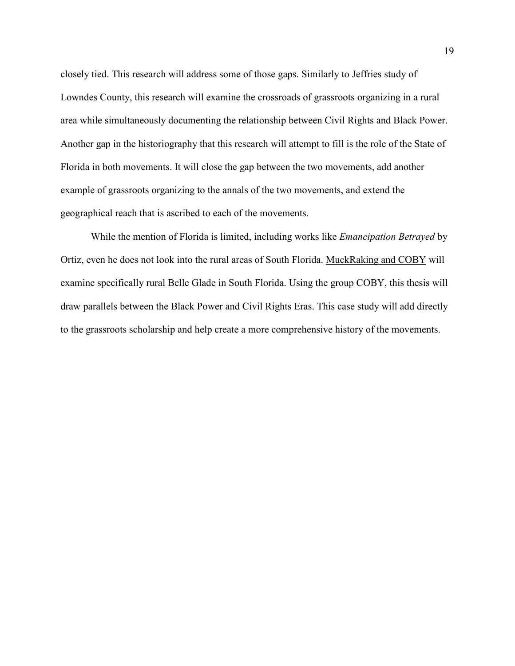closely tied. This research will address some of those gaps. Similarly to Jeffries study of Lowndes County, this research will examine the crossroads of grassroots organizing in a rural area while simultaneously documenting the relationship between Civil Rights and Black Power. Another gap in the historiography that this research will attempt to fill is the role of the State of Florida in both movements. It will close the gap between the two movements, add another example of grassroots organizing to the annals of the two movements, and extend the geographical reach that is ascribed to each of the movements.

While the mention of Florida is limited, including works like *Emancipation Betrayed* by Ortiz, even he does not look into the rural areas of South Florida. MuckRaking and COBY will examine specifically rural Belle Glade in South Florida. Using the group COBY, this thesis will draw parallels between the Black Power and Civil Rights Eras. This case study will add directly to the grassroots scholarship and help create a more comprehensive history of the movements.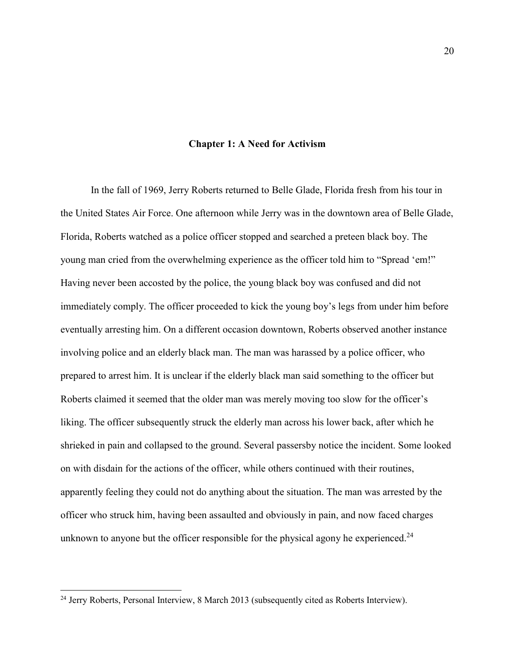#### **Chapter 1: A Need for Activism**

In the fall of 1969, Jerry Roberts returned to Belle Glade, Florida fresh from his tour in the United States Air Force. One afternoon while Jerry was in the downtown area of Belle Glade, Florida, Roberts watched as a police officer stopped and searched a preteen black boy. The young man cried from the overwhelming experience as the officer told him to "Spread 'em!" Having never been accosted by the police, the young black boy was confused and did not immediately comply. The officer proceeded to kick the young boy's legs from under him before eventually arresting him. On a different occasion downtown, Roberts observed another instance involving police and an elderly black man. The man was harassed by a police officer, who prepared to arrest him. It is unclear if the elderly black man said something to the officer but Roberts claimed it seemed that the older man was merely moving too slow for the officer's liking. The officer subsequently struck the elderly man across his lower back, after which he shrieked in pain and collapsed to the ground. Several passersby notice the incident. Some looked on with disdain for the actions of the officer, while others continued with their routines, apparently feeling they could not do anything about the situation. The man was arrested by the officer who struck him, having been assaulted and obviously in pain, and now faced charges unknown to anyone but the officer responsible for the physical agony he experienced.<sup>24</sup>

 $\overline{a}$ 

<sup>&</sup>lt;sup>24</sup> Jerry Roberts, Personal Interview, 8 March 2013 (subsequently cited as Roberts Interview).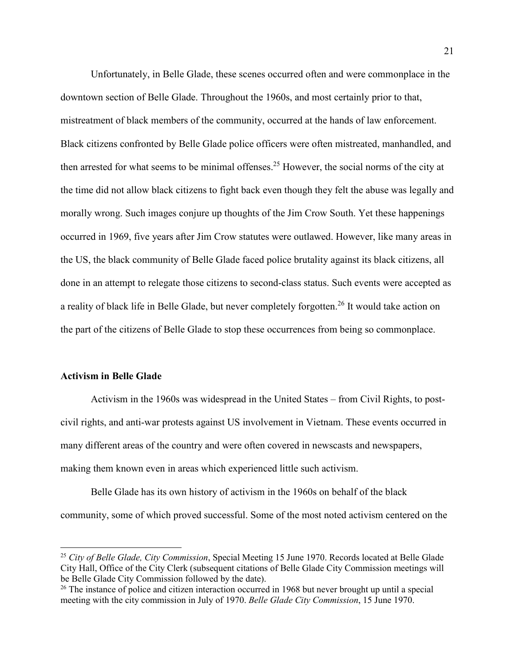Unfortunately, in Belle Glade, these scenes occurred often and were commonplace in the downtown section of Belle Glade. Throughout the 1960s, and most certainly prior to that, mistreatment of black members of the community, occurred at the hands of law enforcement. Black citizens confronted by Belle Glade police officers were often mistreated, manhandled, and then arrested for what seems to be minimal offenses. <sup>25</sup> However, the social norms of the city at the time did not allow black citizens to fight back even though they felt the abuse was legally and morally wrong. Such images conjure up thoughts of the Jim Crow South. Yet these happenings occurred in 1969, five years after Jim Crow statutes were outlawed. However, like many areas in the US, the black community of Belle Glade faced police brutality against its black citizens, all done in an attempt to relegate those citizens to second-class status. Such events were accepted as a reality of black life in Belle Glade, but never completely forgotten.<sup>26</sup> It would take action on the part of the citizens of Belle Glade to stop these occurrences from being so commonplace.

#### **Activism in Belle Glade**

 $\overline{a}$ 

Activism in the 1960s was widespread in the United States – from Civil Rights, to postcivil rights, and anti-war protests against US involvement in Vietnam. These events occurred in many different areas of the country and were often covered in newscasts and newspapers, making them known even in areas which experienced little such activism.

Belle Glade has its own history of activism in the 1960s on behalf of the black community, some of which proved successful. Some of the most noted activism centered on the

<sup>25</sup> *City of Belle Glade, City Commission*, Special Meeting 15 June 1970. Records located at Belle Glade City Hall, Office of the City Clerk (subsequent citations of Belle Glade City Commission meetings will be Belle Glade City Commission followed by the date).

<sup>&</sup>lt;sup>26</sup> The instance of police and citizen interaction occurred in 1968 but never brought up until a special meeting with the city commission in July of 1970. *Belle Glade City Commission*, 15 June 1970.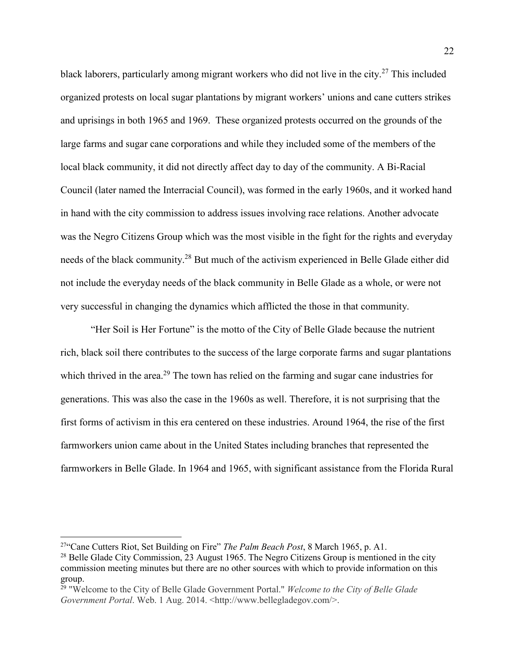black laborers, particularly among migrant workers who did not live in the city.<sup>27</sup> This included organized protests on local sugar plantations by migrant workers' unions and cane cutters strikes and uprisings in both 1965 and 1969. These organized protests occurred on the grounds of the large farms and sugar cane corporations and while they included some of the members of the local black community, it did not directly affect day to day of the community. A Bi-Racial Council (later named the Interracial Council), was formed in the early 1960s, and it worked hand in hand with the city commission to address issues involving race relations. Another advocate was the Negro Citizens Group which was the most visible in the fight for the rights and everyday needs of the black community.<sup>28</sup> But much of the activism experienced in Belle Glade either did not include the everyday needs of the black community in Belle Glade as a whole, or were not very successful in changing the dynamics which afflicted the those in that community.

"Her Soil is Her Fortune" is the motto of the City of Belle Glade because the nutrient rich, black soil there contributes to the success of the large corporate farms and sugar plantations which thrived in the area.<sup>29</sup> The town has relied on the farming and sugar cane industries for generations. This was also the case in the 1960s as well. Therefore, it is not surprising that the first forms of activism in this era centered on these industries. Around 1964, the rise of the first farmworkers union came about in the United States including branches that represented the farmworkers in Belle Glade. In 1964 and 1965, with significant assistance from the Florida Rural

<sup>27</sup>"Cane Cutters Riot, Set Building on Fire" *The Palm Beach Post*, 8 March 1965, p. A1.

<sup>&</sup>lt;sup>28</sup> Belle Glade City Commission, 23 August 1965. The Negro Citizens Group is mentioned in the city commission meeting minutes but there are no other sources with which to provide information on this group.

<sup>29</sup> "Welcome to the City of Belle Glade Government Portal." *Welcome to the City of Belle Glade Government Portal*. Web. 1 Aug. 2014. <http://www.bellegladegov.com/>.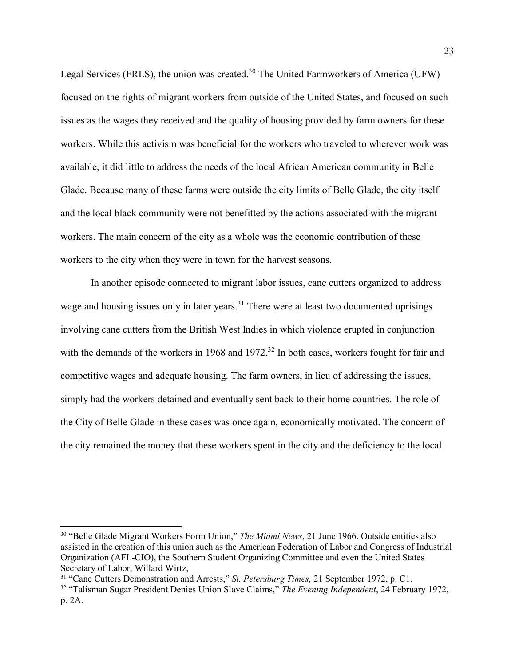Legal Services (FRLS), the union was created.<sup>30</sup> The United Farmworkers of America (UFW) focused on the rights of migrant workers from outside of the United States, and focused on such issues as the wages they received and the quality of housing provided by farm owners for these workers. While this activism was beneficial for the workers who traveled to wherever work was available, it did little to address the needs of the local African American community in Belle Glade. Because many of these farms were outside the city limits of Belle Glade, the city itself and the local black community were not benefitted by the actions associated with the migrant workers. The main concern of the city as a whole was the economic contribution of these workers to the city when they were in town for the harvest seasons.

In another episode connected to migrant labor issues, cane cutters organized to address wage and housing issues only in later years.<sup>31</sup> There were at least two documented uprisings involving cane cutters from the British West Indies in which violence erupted in conjunction with the demands of the workers in 1968 and 1972.<sup>32</sup> In both cases, workers fought for fair and competitive wages and adequate housing. The farm owners, in lieu of addressing the issues, simply had the workers detained and eventually sent back to their home countries. The role of the City of Belle Glade in these cases was once again, economically motivated. The concern of the city remained the money that these workers spent in the city and the deficiency to the local

<sup>30</sup> "Belle Glade Migrant Workers Form Union," *The Miami News*, 21 June 1966. Outside entities also assisted in the creation of this union such as the American Federation of Labor and Congress of Industrial Organization (AFL-CIO), the Southern Student Organizing Committee and even the United States Secretary of Labor, Willard Wirtz,

<sup>31</sup> "Cane Cutters Demonstration and Arrests," *St. Petersburg Times,* 21 September 1972, p. C1.

<sup>32</sup> "Talisman Sugar President Denies Union Slave Claims," *The Evening Independent*, 24 February 1972, p. 2A.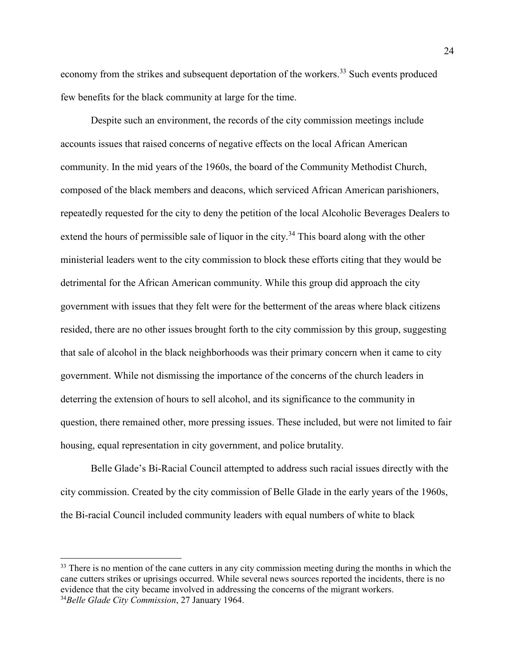economy from the strikes and subsequent deportation of the workers.<sup>33</sup> Such events produced few benefits for the black community at large for the time.

Despite such an environment, the records of the city commission meetings include accounts issues that raised concerns of negative effects on the local African American community. In the mid years of the 1960s, the board of the Community Methodist Church, composed of the black members and deacons, which serviced African American parishioners, repeatedly requested for the city to deny the petition of the local Alcoholic Beverages Dealers to extend the hours of permissible sale of liquor in the city.<sup>34</sup> This board along with the other ministerial leaders went to the city commission to block these efforts citing that they would be detrimental for the African American community. While this group did approach the city government with issues that they felt were for the betterment of the areas where black citizens resided, there are no other issues brought forth to the city commission by this group, suggesting that sale of alcohol in the black neighborhoods was their primary concern when it came to city government. While not dismissing the importance of the concerns of the church leaders in deterring the extension of hours to sell alcohol, and its significance to the community in question, there remained other, more pressing issues. These included, but were not limited to fair housing, equal representation in city government, and police brutality.

Belle Glade's Bi-Racial Council attempted to address such racial issues directly with the city commission. Created by the city commission of Belle Glade in the early years of the 1960s, the Bi-racial Council included community leaders with equal numbers of white to black

<sup>&</sup>lt;sup>33</sup> There is no mention of the cane cutters in any city commission meeting during the months in which the cane cutters strikes or uprisings occurred. While several news sources reported the incidents, there is no evidence that the city became involved in addressing the concerns of the migrant workers. 34*Belle Glade City Commission*, 27 January 1964.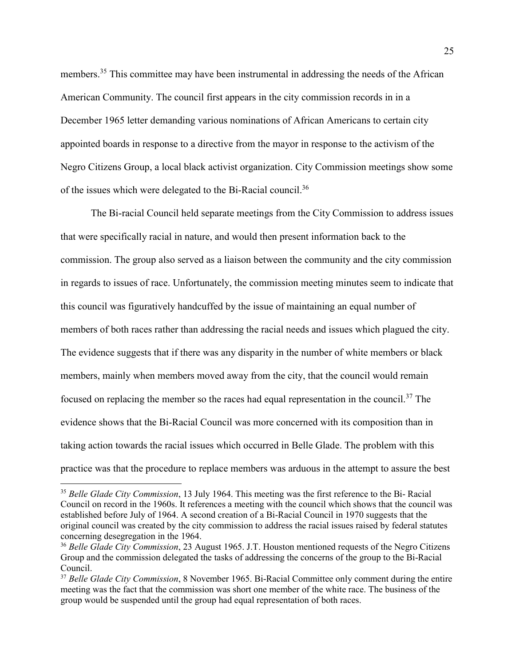members.<sup>35</sup> This committee may have been instrumental in addressing the needs of the African American Community. The council first appears in the city commission records in in a December 1965 letter demanding various nominations of African Americans to certain city appointed boards in response to a directive from the mayor in response to the activism of the Negro Citizens Group, a local black activist organization. City Commission meetings show some of the issues which were delegated to the Bi-Racial council.<sup>36</sup>

The Bi-racial Council held separate meetings from the City Commission to address issues that were specifically racial in nature, and would then present information back to the commission. The group also served as a liaison between the community and the city commission in regards to issues of race. Unfortunately, the commission meeting minutes seem to indicate that this council was figuratively handcuffed by the issue of maintaining an equal number of members of both races rather than addressing the racial needs and issues which plagued the city. The evidence suggests that if there was any disparity in the number of white members or black members, mainly when members moved away from the city, that the council would remain focused on replacing the member so the races had equal representation in the council.<sup>37</sup> The evidence shows that the Bi-Racial Council was more concerned with its composition than in taking action towards the racial issues which occurred in Belle Glade. The problem with this practice was that the procedure to replace members was arduous in the attempt to assure the best

<sup>35</sup> *Belle Glade City Commission*, 13 July 1964. This meeting was the first reference to the Bi- Racial Council on record in the 1960s. It references a meeting with the council which shows that the council was established before July of 1964. A second creation of a Bi-Racial Council in 1970 suggests that the original council was created by the city commission to address the racial issues raised by federal statutes concerning desegregation in the 1964.

<sup>36</sup> *Belle Glade City Commission*, 23 August 1965. J.T. Houston mentioned requests of the Negro Citizens Group and the commission delegated the tasks of addressing the concerns of the group to the Bi-Racial Council.

<sup>37</sup> *Belle Glade City Commission*, 8 November 1965. Bi-Racial Committee only comment during the entire meeting was the fact that the commission was short one member of the white race. The business of the group would be suspended until the group had equal representation of both races.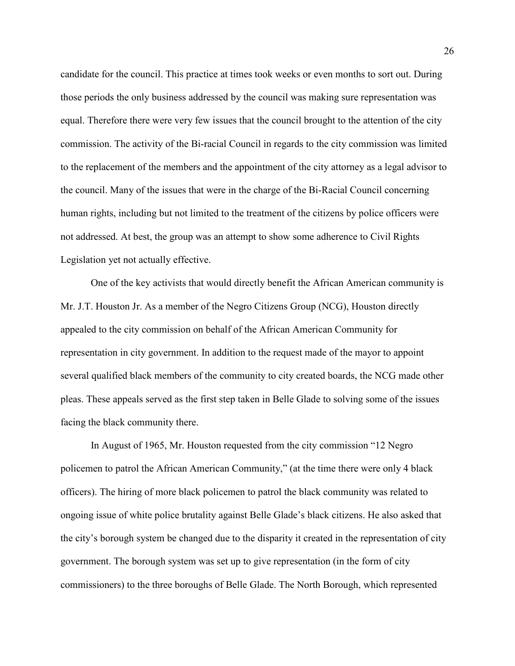candidate for the council. This practice at times took weeks or even months to sort out. During those periods the only business addressed by the council was making sure representation was equal. Therefore there were very few issues that the council brought to the attention of the city commission. The activity of the Bi-racial Council in regards to the city commission was limited to the replacement of the members and the appointment of the city attorney as a legal advisor to the council. Many of the issues that were in the charge of the Bi-Racial Council concerning human rights, including but not limited to the treatment of the citizens by police officers were not addressed. At best, the group was an attempt to show some adherence to Civil Rights Legislation yet not actually effective.

One of the key activists that would directly benefit the African American community is Mr. J.T. Houston Jr. As a member of the Negro Citizens Group (NCG), Houston directly appealed to the city commission on behalf of the African American Community for representation in city government. In addition to the request made of the mayor to appoint several qualified black members of the community to city created boards, the NCG made other pleas. These appeals served as the first step taken in Belle Glade to solving some of the issues facing the black community there.

In August of 1965, Mr. Houston requested from the city commission "12 Negro policemen to patrol the African American Community," (at the time there were only 4 black officers). The hiring of more black policemen to patrol the black community was related to ongoing issue of white police brutality against Belle Glade's black citizens. He also asked that the city's borough system be changed due to the disparity it created in the representation of city government. The borough system was set up to give representation (in the form of city commissioners) to the three boroughs of Belle Glade. The North Borough, which represented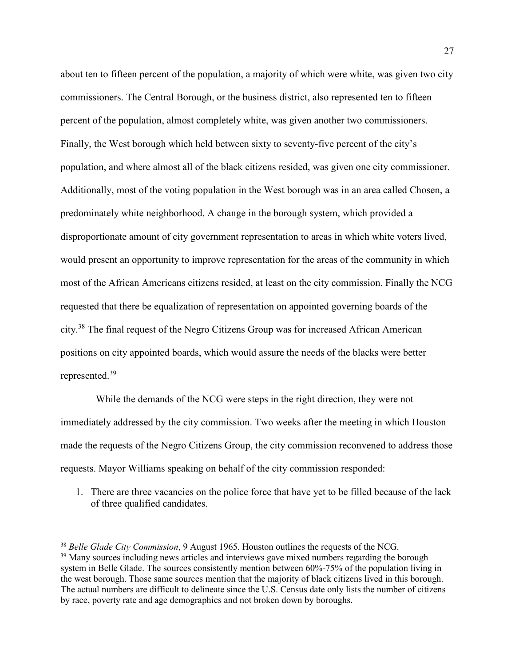about ten to fifteen percent of the population, a majority of which were white, was given two city commissioners. The Central Borough, or the business district, also represented ten to fifteen percent of the population, almost completely white, was given another two commissioners. Finally, the West borough which held between sixty to seventy-five percent of the city's population, and where almost all of the black citizens resided, was given one city commissioner. Additionally, most of the voting population in the West borough was in an area called Chosen, a predominately white neighborhood. A change in the borough system, which provided a disproportionate amount of city government representation to areas in which white voters lived, would present an opportunity to improve representation for the areas of the community in which most of the African Americans citizens resided, at least on the city commission. Finally the NCG requested that there be equalization of representation on appointed governing boards of the city.<sup>38</sup> The final request of the Negro Citizens Group was for increased African American positions on city appointed boards, which would assure the needs of the blacks were better represented.<sup>39</sup>

 While the demands of the NCG were steps in the right direction, they were not immediately addressed by the city commission. Two weeks after the meeting in which Houston made the requests of the Negro Citizens Group, the city commission reconvened to address those requests. Mayor Williams speaking on behalf of the city commission responded:

1. There are three vacancies on the police force that have yet to be filled because of the lack of three qualified candidates.

<sup>38</sup> *Belle Glade City Commission*, 9 August 1965. Houston outlines the requests of the NCG. <sup>39</sup> Many sources including news articles and interviews gave mixed numbers regarding the borough system in Belle Glade. The sources consistently mention between 60%-75% of the population living in the west borough. Those same sources mention that the majority of black citizens lived in this borough. The actual numbers are difficult to delineate since the U.S. Census date only lists the number of citizens by race, poverty rate and age demographics and not broken down by boroughs.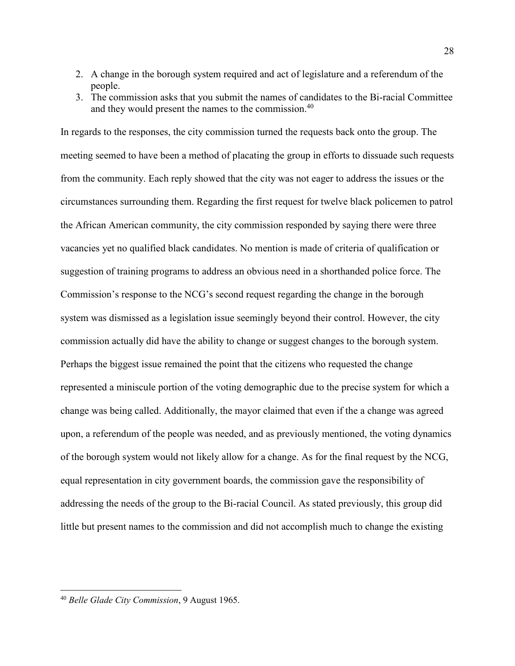- 2. A change in the borough system required and act of legislature and a referendum of the people.
- 3. The commission asks that you submit the names of candidates to the Bi-racial Committee and they would present the names to the commission.<sup>40</sup>

In regards to the responses, the city commission turned the requests back onto the group. The meeting seemed to have been a method of placating the group in efforts to dissuade such requests from the community. Each reply showed that the city was not eager to address the issues or the circumstances surrounding them. Regarding the first request for twelve black policemen to patrol the African American community, the city commission responded by saying there were three vacancies yet no qualified black candidates. No mention is made of criteria of qualification or suggestion of training programs to address an obvious need in a shorthanded police force. The Commission's response to the NCG's second request regarding the change in the borough system was dismissed as a legislation issue seemingly beyond their control. However, the city commission actually did have the ability to change or suggest changes to the borough system. Perhaps the biggest issue remained the point that the citizens who requested the change represented a miniscule portion of the voting demographic due to the precise system for which a change was being called. Additionally, the mayor claimed that even if the a change was agreed upon, a referendum of the people was needed, and as previously mentioned, the voting dynamics of the borough system would not likely allow for a change. As for the final request by the NCG, equal representation in city government boards, the commission gave the responsibility of addressing the needs of the group to the Bi-racial Council. As stated previously, this group did little but present names to the commission and did not accomplish much to change the existing

 $\overline{a}$ 

<sup>40</sup> *Belle Glade City Commission*, 9 August 1965.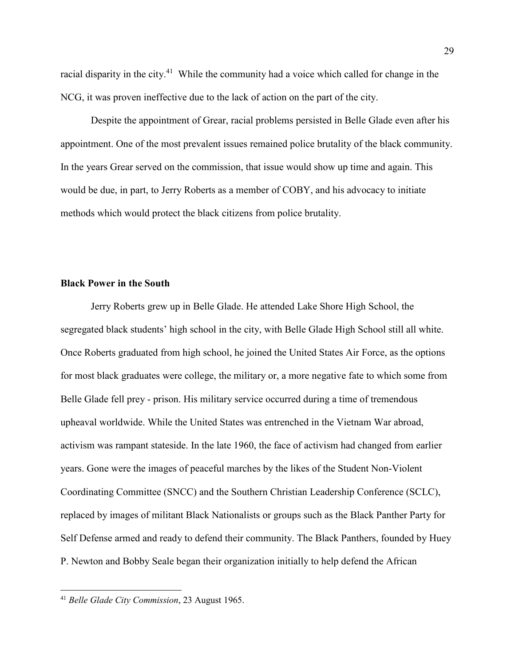racial disparity in the city.<sup>41</sup> While the community had a voice which called for change in the NCG, it was proven ineffective due to the lack of action on the part of the city.

Despite the appointment of Grear, racial problems persisted in Belle Glade even after his appointment. One of the most prevalent issues remained police brutality of the black community. In the years Grear served on the commission, that issue would show up time and again. This would be due, in part, to Jerry Roberts as a member of COBY, and his advocacy to initiate methods which would protect the black citizens from police brutality.

#### **Black Power in the South**

Jerry Roberts grew up in Belle Glade. He attended Lake Shore High School, the segregated black students' high school in the city, with Belle Glade High School still all white. Once Roberts graduated from high school, he joined the United States Air Force, as the options for most black graduates were college, the military or, a more negative fate to which some from Belle Glade fell prey - prison. His military service occurred during a time of tremendous upheaval worldwide. While the United States was entrenched in the Vietnam War abroad, activism was rampant stateside. In the late 1960, the face of activism had changed from earlier years. Gone were the images of peaceful marches by the likes of the Student Non-Violent Coordinating Committee (SNCC) and the Southern Christian Leadership Conference (SCLC), replaced by images of militant Black Nationalists or groups such as the Black Panther Party for Self Defense armed and ready to defend their community. The Black Panthers, founded by Huey P. Newton and Bobby Seale began their organization initially to help defend the African

 $\overline{a}$ 

<sup>41</sup> *Belle Glade City Commission*, 23 August 1965.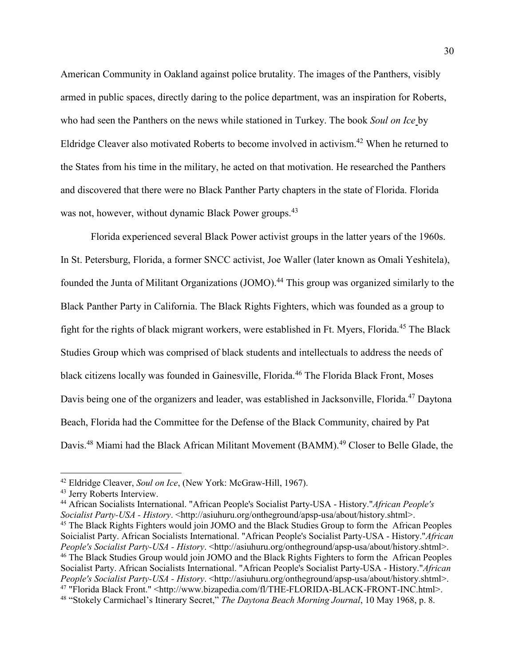American Community in Oakland against police brutality. The images of the Panthers, visibly armed in public spaces, directly daring to the police department, was an inspiration for Roberts, who had seen the Panthers on the news while stationed in Turkey. The book *Soul on Ice* by Eldridge Cleaver also motivated Roberts to become involved in activism.<sup>42</sup> When he returned to the States from his time in the military, he acted on that motivation. He researched the Panthers and discovered that there were no Black Panther Party chapters in the state of Florida. Florida was not, however, without dynamic Black Power groups.<sup>43</sup>

Florida experienced several Black Power activist groups in the latter years of the 1960s. In St. Petersburg, Florida, a former SNCC activist, Joe Waller (later known as Omali Yeshitela), founded the Junta of Militant Organizations (JOMO).<sup>44</sup> This group was organized similarly to the Black Panther Party in California. The Black Rights Fighters, which was founded as a group to fight for the rights of black migrant workers, were established in Ft. Myers, Florida.<sup>45</sup> The Black Studies Group which was comprised of black students and intellectuals to address the needs of black citizens locally was founded in Gainesville, Florida.<sup>46</sup> The Florida Black Front, Moses Davis being one of the organizers and leader, was established in Jacksonville, Florida.<sup>47</sup> Daytona Beach, Florida had the Committee for the Defense of the Black Community, chaired by Pat Davis.<sup>48</sup> Miami had the Black African Militant Movement (BAMM).<sup>49</sup> Closer to Belle Glade, the

<sup>42</sup> Eldridge Cleaver, *Soul on Ice*, (New York: McGraw-Hill, 1967).

<sup>43</sup> Jerry Roberts Interview.

<sup>44</sup> African Socialists International. "African People's Socialist Party-USA - History."*African People's Socialist Party-USA - History*. <http://asiuhuru.org/ontheground/apsp-usa/about/history.shtml>.

<sup>&</sup>lt;sup>45</sup> The Black Rights Fighters would join JOMO and the Black Studies Group to form the African Peoples Soicialist Party. African Socialists International. "African People's Socialist Party-USA - History."*African People's Socialist Party-USA - History.* <http://asiuhuru.org/ontheground/apsp-usa/about/history.shtml>. <sup>46</sup> The Black Studies Group would join JOMO and the Black Rights Fighters to form the African Peoples Socialist Party. African Socialists International. "African People's Socialist Party-USA - History."*African People's Socialist Party-USA - History.* <http://asiuhuru.org/ontheground/apsp-usa/about/history.shtml>. <sup>47</sup> "Florida Black Front." <http://www.bizapedia.com/fl/THE-FLORIDA-BLACK-FRONT-INC.html>. 48 "Stokely Carmichael's Itinerary Secret," *The Daytona Beach Morning Journal*, 10 May 1968, p. 8.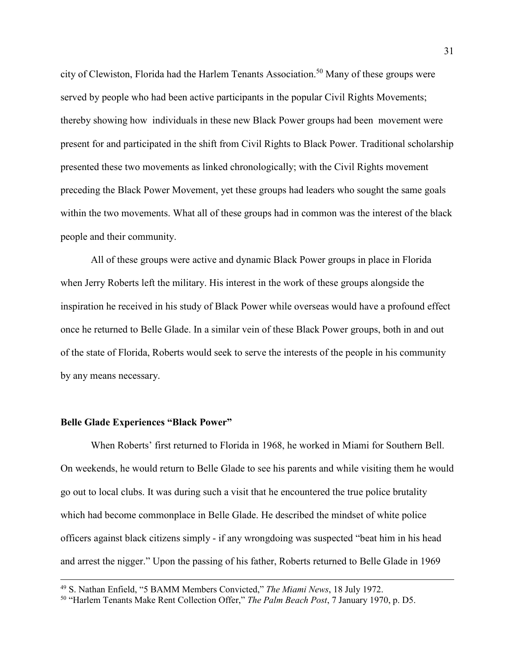city of Clewiston, Florida had the Harlem Tenants Association.<sup>50</sup> Many of these groups were served by people who had been active participants in the popular Civil Rights Movements; thereby showing how individuals in these new Black Power groups had been movement were present for and participated in the shift from Civil Rights to Black Power. Traditional scholarship presented these two movements as linked chronologically; with the Civil Rights movement preceding the Black Power Movement, yet these groups had leaders who sought the same goals within the two movements. What all of these groups had in common was the interest of the black people and their community.

All of these groups were active and dynamic Black Power groups in place in Florida when Jerry Roberts left the military. His interest in the work of these groups alongside the inspiration he received in his study of Black Power while overseas would have a profound effect once he returned to Belle Glade. In a similar vein of these Black Power groups, both in and out of the state of Florida, Roberts would seek to serve the interests of the people in his community by any means necessary.

### **Belle Glade Experiences "Black Power"**

 $\overline{a}$ 

When Roberts' first returned to Florida in 1968, he worked in Miami for Southern Bell. On weekends, he would return to Belle Glade to see his parents and while visiting them he would go out to local clubs. It was during such a visit that he encountered the true police brutality which had become commonplace in Belle Glade. He described the mindset of white police officers against black citizens simply - if any wrongdoing was suspected "beat him in his head and arrest the nigger." Upon the passing of his father, Roberts returned to Belle Glade in 1969

<sup>49</sup> S. Nathan Enfield, "5 BAMM Members Convicted," *The Miami News*, 18 July 1972.

<sup>50</sup> "Harlem Tenants Make Rent Collection Offer," *The Palm Beach Post*, 7 January 1970, p. D5.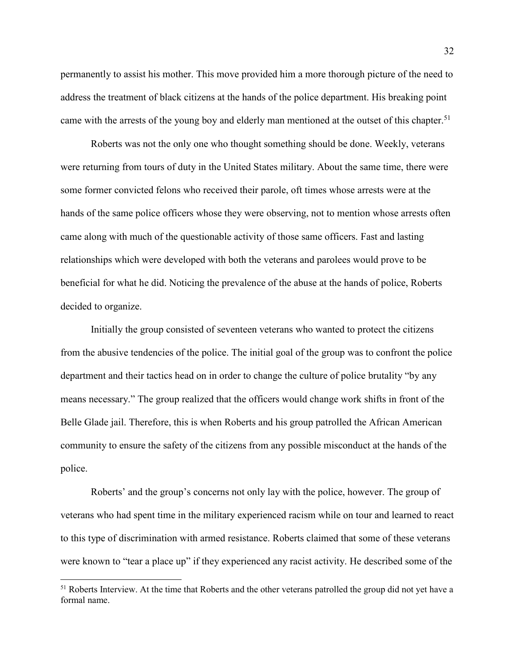permanently to assist his mother. This move provided him a more thorough picture of the need to address the treatment of black citizens at the hands of the police department. His breaking point came with the arrests of the young boy and elderly man mentioned at the outset of this chapter.<sup>51</sup>

Roberts was not the only one who thought something should be done. Weekly, veterans were returning from tours of duty in the United States military. About the same time, there were some former convicted felons who received their parole, oft times whose arrests were at the hands of the same police officers whose they were observing, not to mention whose arrests often came along with much of the questionable activity of those same officers. Fast and lasting relationships which were developed with both the veterans and parolees would prove to be beneficial for what he did. Noticing the prevalence of the abuse at the hands of police, Roberts decided to organize.

Initially the group consisted of seventeen veterans who wanted to protect the citizens from the abusive tendencies of the police. The initial goal of the group was to confront the police department and their tactics head on in order to change the culture of police brutality "by any means necessary." The group realized that the officers would change work shifts in front of the Belle Glade jail. Therefore, this is when Roberts and his group patrolled the African American community to ensure the safety of the citizens from any possible misconduct at the hands of the police.

Roberts' and the group's concerns not only lay with the police, however. The group of veterans who had spent time in the military experienced racism while on tour and learned to react to this type of discrimination with armed resistance. Roberts claimed that some of these veterans were known to "tear a place up" if they experienced any racist activity. He described some of the

<sup>&</sup>lt;sup>51</sup> Roberts Interview. At the time that Roberts and the other veterans patrolled the group did not yet have a formal name.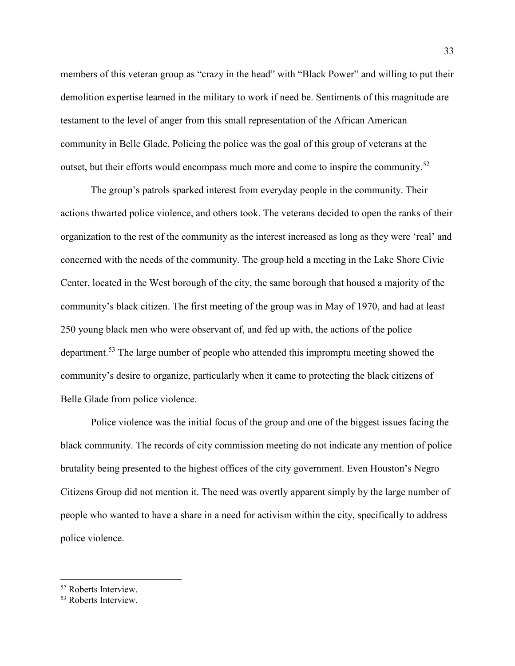members of this veteran group as "crazy in the head" with "Black Power" and willing to put their demolition expertise learned in the military to work if need be. Sentiments of this magnitude are testament to the level of anger from this small representation of the African American community in Belle Glade. Policing the police was the goal of this group of veterans at the outset, but their efforts would encompass much more and come to inspire the community.<sup>52</sup>

The group's patrols sparked interest from everyday people in the community. Their actions thwarted police violence, and others took. The veterans decided to open the ranks of their organization to the rest of the community as the interest increased as long as they were 'real' and concerned with the needs of the community. The group held a meeting in the Lake Shore Civic Center, located in the West borough of the city, the same borough that housed a majority of the community's black citizen. The first meeting of the group was in May of 1970, and had at least 250 young black men who were observant of, and fed up with, the actions of the police department.<sup>53</sup> The large number of people who attended this impromptu meeting showed the community's desire to organize, particularly when it came to protecting the black citizens of Belle Glade from police violence.

Police violence was the initial focus of the group and one of the biggest issues facing the black community. The records of city commission meeting do not indicate any mention of police brutality being presented to the highest offices of the city government. Even Houston's Negro Citizens Group did not mention it. The need was overtly apparent simply by the large number of people who wanted to have a share in a need for activism within the city, specifically to address police violence.

<sup>52</sup> Roberts Interview.

<sup>53</sup> Roberts Interview.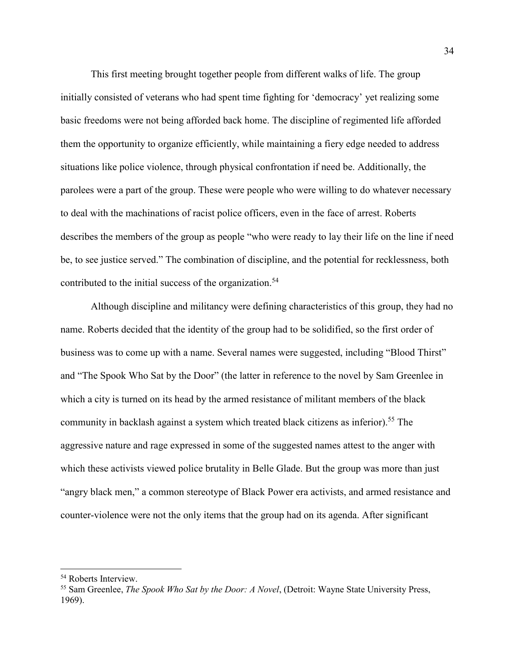This first meeting brought together people from different walks of life. The group initially consisted of veterans who had spent time fighting for 'democracy' yet realizing some basic freedoms were not being afforded back home. The discipline of regimented life afforded them the opportunity to organize efficiently, while maintaining a fiery edge needed to address situations like police violence, through physical confrontation if need be. Additionally, the parolees were a part of the group. These were people who were willing to do whatever necessary to deal with the machinations of racist police officers, even in the face of arrest. Roberts describes the members of the group as people "who were ready to lay their life on the line if need be, to see justice served." The combination of discipline, and the potential for recklessness, both contributed to the initial success of the organization.<sup>54</sup>

Although discipline and militancy were defining characteristics of this group, they had no name. Roberts decided that the identity of the group had to be solidified, so the first order of business was to come up with a name. Several names were suggested, including "Blood Thirst" and "The Spook Who Sat by the Door" (the latter in reference to the novel by Sam Greenlee in which a city is turned on its head by the armed resistance of militant members of the black community in backlash against a system which treated black citizens as inferior).<sup>55</sup> The aggressive nature and rage expressed in some of the suggested names attest to the anger with which these activists viewed police brutality in Belle Glade. But the group was more than just "angry black men," a common stereotype of Black Power era activists, and armed resistance and counter-violence were not the only items that the group had on its agenda. After significant

<sup>54</sup> Roberts Interview.

<sup>55</sup> Sam Greenlee, *The Spook Who Sat by the Door: A Novel*, (Detroit: Wayne State University Press, 1969).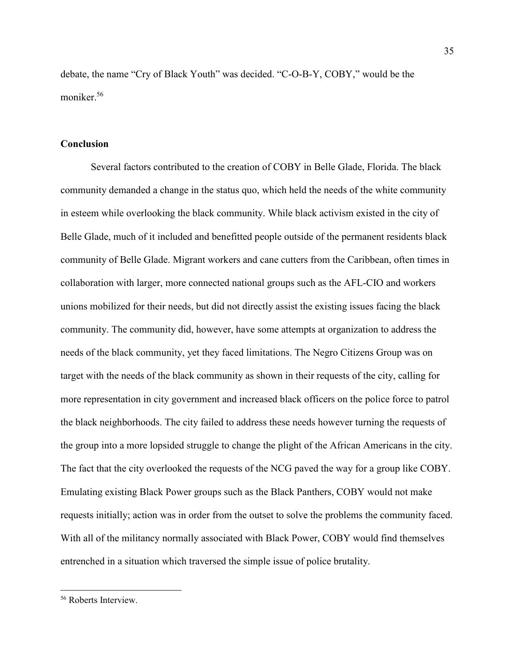debate, the name "Cry of Black Youth" was decided. "C-O-B-Y, COBY," would be the moniker.<sup>56</sup>

# **Conclusion**

Several factors contributed to the creation of COBY in Belle Glade, Florida. The black community demanded a change in the status quo, which held the needs of the white community in esteem while overlooking the black community. While black activism existed in the city of Belle Glade, much of it included and benefitted people outside of the permanent residents black community of Belle Glade. Migrant workers and cane cutters from the Caribbean, often times in collaboration with larger, more connected national groups such as the AFL-CIO and workers unions mobilized for their needs, but did not directly assist the existing issues facing the black community. The community did, however, have some attempts at organization to address the needs of the black community, yet they faced limitations. The Negro Citizens Group was on target with the needs of the black community as shown in their requests of the city, calling for more representation in city government and increased black officers on the police force to patrol the black neighborhoods. The city failed to address these needs however turning the requests of the group into a more lopsided struggle to change the plight of the African Americans in the city. The fact that the city overlooked the requests of the NCG paved the way for a group like COBY. Emulating existing Black Power groups such as the Black Panthers, COBY would not make requests initially; action was in order from the outset to solve the problems the community faced. With all of the militancy normally associated with Black Power, COBY would find themselves entrenched in a situation which traversed the simple issue of police brutality.

<sup>&</sup>lt;sup>56</sup> Roberts Interview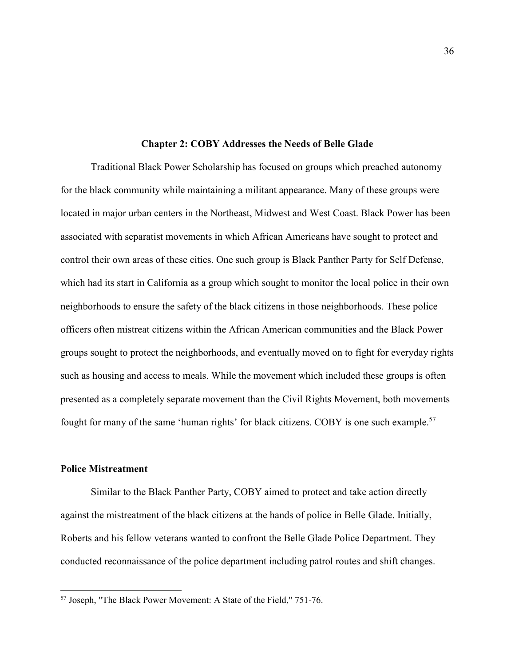### **Chapter 2: COBY Addresses the Needs of Belle Glade**

Traditional Black Power Scholarship has focused on groups which preached autonomy for the black community while maintaining a militant appearance. Many of these groups were located in major urban centers in the Northeast, Midwest and West Coast. Black Power has been associated with separatist movements in which African Americans have sought to protect and control their own areas of these cities. One such group is Black Panther Party for Self Defense, which had its start in California as a group which sought to monitor the local police in their own neighborhoods to ensure the safety of the black citizens in those neighborhoods. These police officers often mistreat citizens within the African American communities and the Black Power groups sought to protect the neighborhoods, and eventually moved on to fight for everyday rights such as housing and access to meals. While the movement which included these groups is often presented as a completely separate movement than the Civil Rights Movement, both movements fought for many of the same 'human rights' for black citizens. COBY is one such example.<sup>57</sup>

### **Police Mistreatment**

 $\overline{a}$ 

Similar to the Black Panther Party, COBY aimed to protect and take action directly against the mistreatment of the black citizens at the hands of police in Belle Glade. Initially, Roberts and his fellow veterans wanted to confront the Belle Glade Police Department. They conducted reconnaissance of the police department including patrol routes and shift changes.

<sup>57</sup> Joseph, "The Black Power Movement: A State of the Field," 751-76.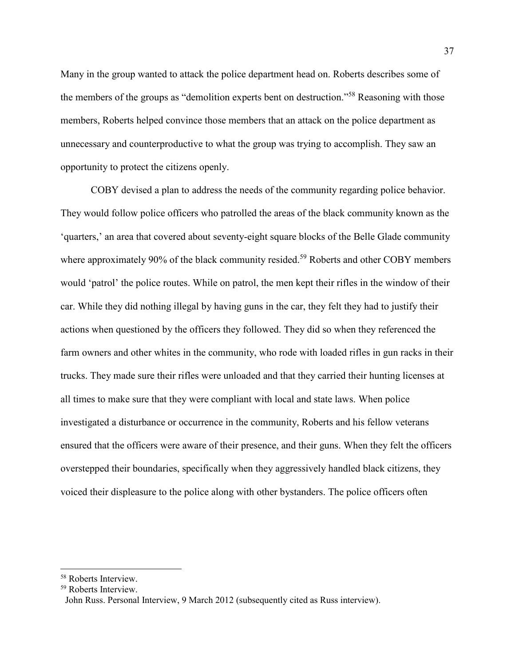Many in the group wanted to attack the police department head on. Roberts describes some of the members of the groups as "demolition experts bent on destruction."<sup>58</sup> Reasoning with those members, Roberts helped convince those members that an attack on the police department as unnecessary and counterproductive to what the group was trying to accomplish. They saw an opportunity to protect the citizens openly.

COBY devised a plan to address the needs of the community regarding police behavior. They would follow police officers who patrolled the areas of the black community known as the 'quarters,' an area that covered about seventy-eight square blocks of the Belle Glade community where approximately 90% of the black community resided.<sup>59</sup> Roberts and other COBY members would 'patrol' the police routes. While on patrol, the men kept their rifles in the window of their car. While they did nothing illegal by having guns in the car, they felt they had to justify their actions when questioned by the officers they followed. They did so when they referenced the farm owners and other whites in the community, who rode with loaded rifles in gun racks in their trucks. They made sure their rifles were unloaded and that they carried their hunting licenses at all times to make sure that they were compliant with local and state laws. When police investigated a disturbance or occurrence in the community, Roberts and his fellow veterans ensured that the officers were aware of their presence, and their guns. When they felt the officers overstepped their boundaries, specifically when they aggressively handled black citizens, they voiced their displeasure to the police along with other bystanders. The police officers often

<sup>58</sup> Roberts Interview.

<sup>59</sup> Roberts Interview.

John Russ. Personal Interview, 9 March 2012 (subsequently cited as Russ interview).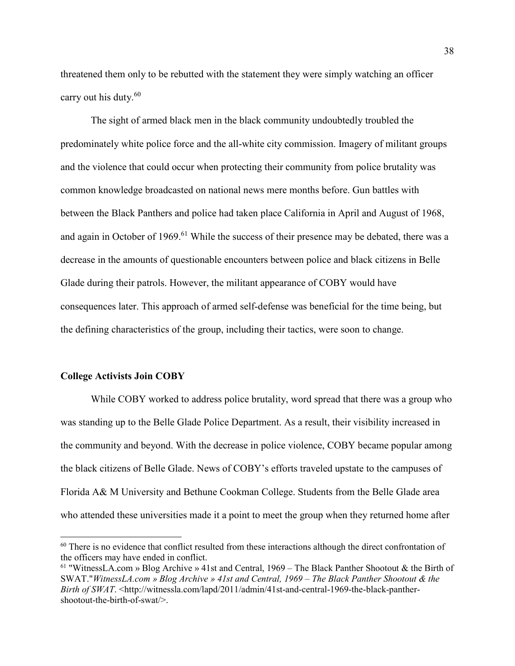threatened them only to be rebutted with the statement they were simply watching an officer carry out his duty.<sup>60</sup>

The sight of armed black men in the black community undoubtedly troubled the predominately white police force and the all-white city commission. Imagery of militant groups and the violence that could occur when protecting their community from police brutality was common knowledge broadcasted on national news mere months before. Gun battles with between the Black Panthers and police had taken place California in April and August of 1968, and again in October of 1969.<sup>61</sup> While the success of their presence may be debated, there was a decrease in the amounts of questionable encounters between police and black citizens in Belle Glade during their patrols. However, the militant appearance of COBY would have consequences later. This approach of armed self-defense was beneficial for the time being, but the defining characteristics of the group, including their tactics, were soon to change.

### **College Activists Join COBY**

l

While COBY worked to address police brutality, word spread that there was a group who was standing up to the Belle Glade Police Department. As a result, their visibility increased in the community and beyond. With the decrease in police violence, COBY became popular among the black citizens of Belle Glade. News of COBY's efforts traveled upstate to the campuses of Florida A& M University and Bethune Cookman College. Students from the Belle Glade area who attended these universities made it a point to meet the group when they returned home after

<sup>&</sup>lt;sup>60</sup> There is no evidence that conflict resulted from these interactions although the direct confrontation of the officers may have ended in conflict.

<sup>61</sup> "WitnessLA.com » Blog Archive » 41st and Central, 1969 – The Black Panther Shootout & the Birth of SWAT."*WitnessLA.com » Blog Archive » 41st and Central, 1969 – The Black Panther Shootout & the Birth of SWAT*. <http://witnessla.com/lapd/2011/admin/41st-and-central-1969-the-black-panthershootout-the-birth-of-swat/>.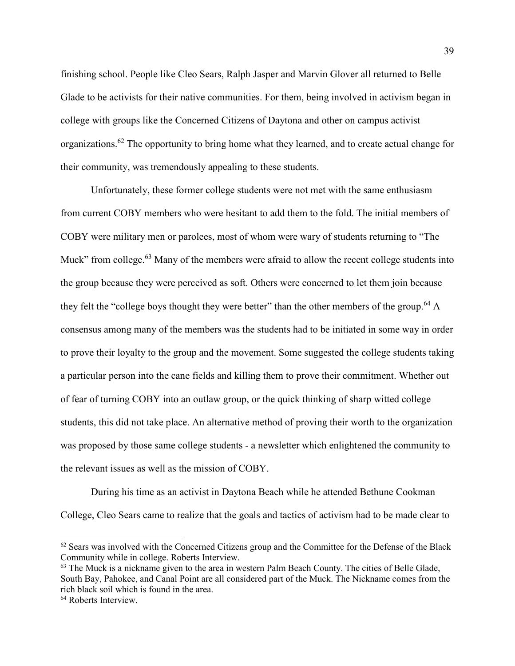finishing school. People like Cleo Sears, Ralph Jasper and Marvin Glover all returned to Belle Glade to be activists for their native communities. For them, being involved in activism began in college with groups like the Concerned Citizens of Daytona and other on campus activist organizations.<sup>62</sup> The opportunity to bring home what they learned, and to create actual change for their community, was tremendously appealing to these students.

Unfortunately, these former college students were not met with the same enthusiasm from current COBY members who were hesitant to add them to the fold. The initial members of COBY were military men or parolees, most of whom were wary of students returning to "The Muck" from college. $63$  Many of the members were afraid to allow the recent college students into the group because they were perceived as soft. Others were concerned to let them join because they felt the "college boys thought they were better" than the other members of the group.<sup>64</sup> A consensus among many of the members was the students had to be initiated in some way in order to prove their loyalty to the group and the movement. Some suggested the college students taking a particular person into the cane fields and killing them to prove their commitment. Whether out of fear of turning COBY into an outlaw group, or the quick thinking of sharp witted college students, this did not take place. An alternative method of proving their worth to the organization was proposed by those same college students - a newsletter which enlightened the community to the relevant issues as well as the mission of COBY.

 During his time as an activist in Daytona Beach while he attended Bethune Cookman College, Cleo Sears came to realize that the goals and tactics of activism had to be made clear to

 $62$  Sears was involved with the Concerned Citizens group and the Committee for the Defense of the Black Community while in college. Roberts Interview.

<sup>&</sup>lt;sup>63</sup> The Muck is a nickname given to the area in western Palm Beach County. The cities of Belle Glade, South Bay, Pahokee, and Canal Point are all considered part of the Muck. The Nickname comes from the rich black soil which is found in the area.

<sup>64</sup> Roberts Interview.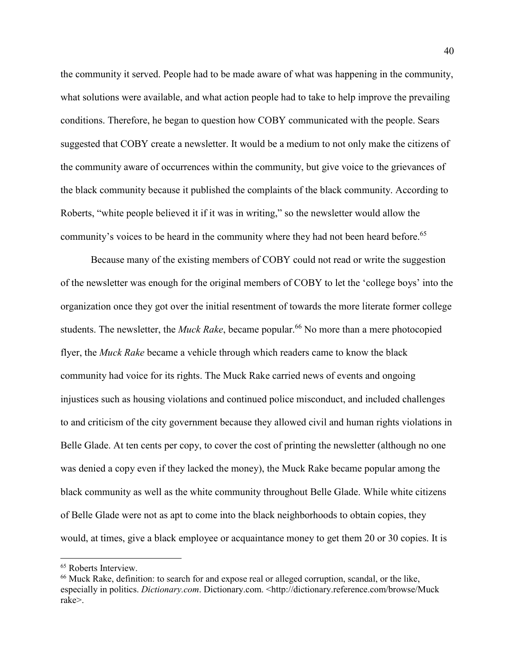the community it served. People had to be made aware of what was happening in the community, what solutions were available, and what action people had to take to help improve the prevailing conditions. Therefore, he began to question how COBY communicated with the people. Sears suggested that COBY create a newsletter. It would be a medium to not only make the citizens of the community aware of occurrences within the community, but give voice to the grievances of the black community because it published the complaints of the black community. According to Roberts, "white people believed it if it was in writing," so the newsletter would allow the community's voices to be heard in the community where they had not been heard before.<sup>65</sup>

Because many of the existing members of COBY could not read or write the suggestion of the newsletter was enough for the original members of COBY to let the 'college boys' into the organization once they got over the initial resentment of towards the more literate former college students. The newsletter, the *Muck Rake*, became popular.<sup>66</sup> No more than a mere photocopied flyer, the *Muck Rake* became a vehicle through which readers came to know the black community had voice for its rights. The Muck Rake carried news of events and ongoing injustices such as housing violations and continued police misconduct, and included challenges to and criticism of the city government because they allowed civil and human rights violations in Belle Glade. At ten cents per copy, to cover the cost of printing the newsletter (although no one was denied a copy even if they lacked the money), the Muck Rake became popular among the black community as well as the white community throughout Belle Glade. While white citizens of Belle Glade were not as apt to come into the black neighborhoods to obtain copies, they would, at times, give a black employee or acquaintance money to get them 20 or 30 copies. It is

<sup>&</sup>lt;sup>65</sup> Roberts Interview.

<sup>66</sup> Muck Rake, definition: to search for and expose real or alleged corruption, scandal, or the like, especially in politics. *Dictionary.com*. Dictionary.com. <http://dictionary.reference.com/browse/Muck rake>.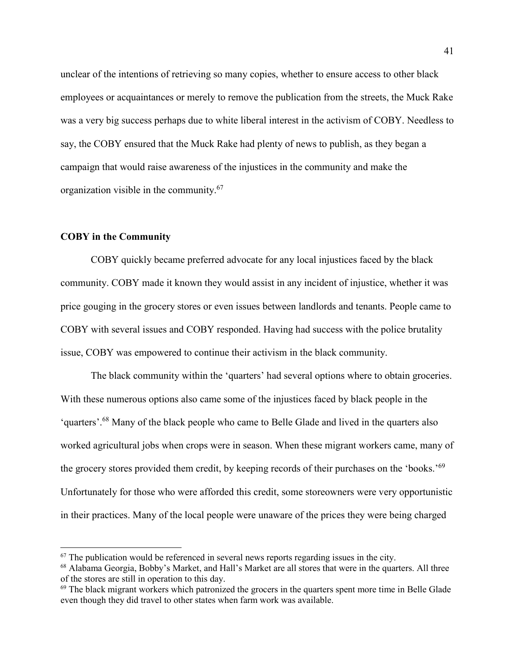unclear of the intentions of retrieving so many copies, whether to ensure access to other black employees or acquaintances or merely to remove the publication from the streets, the Muck Rake was a very big success perhaps due to white liberal interest in the activism of COBY. Needless to say, the COBY ensured that the Muck Rake had plenty of news to publish, as they began a campaign that would raise awareness of the injustices in the community and make the organization visible in the community.<sup>67</sup>

# **COBY in the Community**

 $\overline{a}$ 

COBY quickly became preferred advocate for any local injustices faced by the black community. COBY made it known they would assist in any incident of injustice, whether it was price gouging in the grocery stores or even issues between landlords and tenants. People came to COBY with several issues and COBY responded. Having had success with the police brutality issue, COBY was empowered to continue their activism in the black community.

The black community within the 'quarters' had several options where to obtain groceries. With these numerous options also came some of the injustices faced by black people in the 'quarters'.<sup>68</sup> Many of the black people who came to Belle Glade and lived in the quarters also worked agricultural jobs when crops were in season. When these migrant workers came, many of the grocery stores provided them credit, by keeping records of their purchases on the 'books.'<sup>69</sup> Unfortunately for those who were afforded this credit, some storeowners were very opportunistic in their practices. Many of the local people were unaware of the prices they were being charged

 $67$  The publication would be referenced in several news reports regarding issues in the city.

<sup>68</sup> Alabama Georgia, Bobby's Market, and Hall's Market are all stores that were in the quarters. All three of the stores are still in operation to this day.

<sup>&</sup>lt;sup>69</sup> The black migrant workers which patronized the grocers in the quarters spent more time in Belle Glade even though they did travel to other states when farm work was available.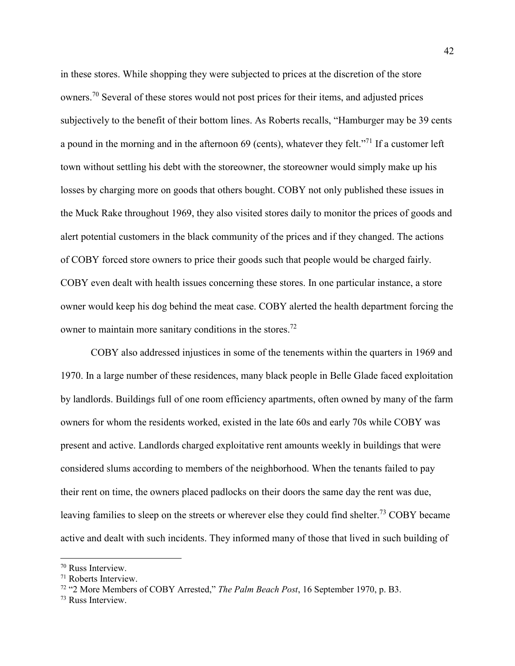in these stores. While shopping they were subjected to prices at the discretion of the store owners.<sup>70</sup> Several of these stores would not post prices for their items, and adjusted prices subjectively to the benefit of their bottom lines. As Roberts recalls, "Hamburger may be 39 cents a pound in the morning and in the afternoon 69 (cents), whatever they felt."<sup>71</sup> If a customer left town without settling his debt with the storeowner, the storeowner would simply make up his losses by charging more on goods that others bought. COBY not only published these issues in the Muck Rake throughout 1969, they also visited stores daily to monitor the prices of goods and alert potential customers in the black community of the prices and if they changed. The actions of COBY forced store owners to price their goods such that people would be charged fairly. COBY even dealt with health issues concerning these stores. In one particular instance, a store owner would keep his dog behind the meat case. COBY alerted the health department forcing the owner to maintain more sanitary conditions in the stores.<sup>72</sup>

COBY also addressed injustices in some of the tenements within the quarters in 1969 and 1970. In a large number of these residences, many black people in Belle Glade faced exploitation by landlords. Buildings full of one room efficiency apartments, often owned by many of the farm owners for whom the residents worked, existed in the late 60s and early 70s while COBY was present and active. Landlords charged exploitative rent amounts weekly in buildings that were considered slums according to members of the neighborhood. When the tenants failed to pay their rent on time, the owners placed padlocks on their doors the same day the rent was due, leaving families to sleep on the streets or wherever else they could find shelter.<sup>73</sup> COBY became active and dealt with such incidents. They informed many of those that lived in such building of

<sup>70</sup> Russ Interview.

<sup>71</sup> Roberts Interview.

<sup>72</sup> "2 More Members of COBY Arrested," *The Palm Beach Post*, 16 September 1970, p. B3.

<sup>73</sup> Russ Interview.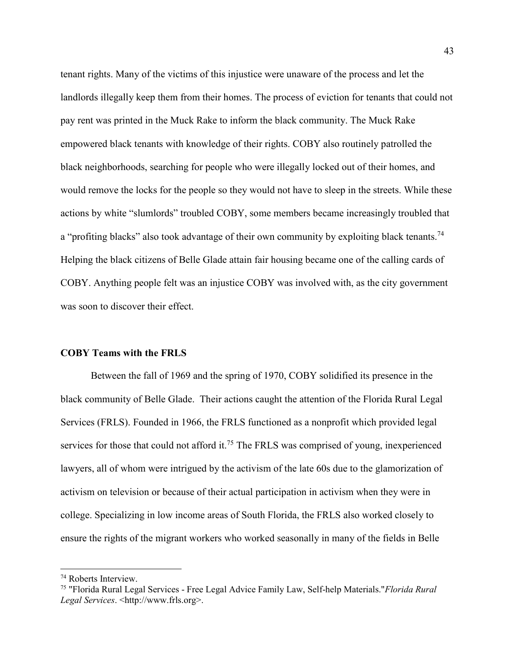tenant rights. Many of the victims of this injustice were unaware of the process and let the landlords illegally keep them from their homes. The process of eviction for tenants that could not pay rent was printed in the Muck Rake to inform the black community. The Muck Rake empowered black tenants with knowledge of their rights. COBY also routinely patrolled the black neighborhoods, searching for people who were illegally locked out of their homes, and would remove the locks for the people so they would not have to sleep in the streets. While these actions by white "slumlords" troubled COBY, some members became increasingly troubled that a "profiting blacks" also took advantage of their own community by exploiting black tenants.<sup>74</sup> Helping the black citizens of Belle Glade attain fair housing became one of the calling cards of COBY. Anything people felt was an injustice COBY was involved with, as the city government was soon to discover their effect.

### **COBY Teams with the FRLS**

Between the fall of 1969 and the spring of 1970, COBY solidified its presence in the black community of Belle Glade. Their actions caught the attention of the Florida Rural Legal Services (FRLS). Founded in 1966, the FRLS functioned as a nonprofit which provided legal services for those that could not afford it.<sup>75</sup> The FRLS was comprised of young, inexperienced lawyers, all of whom were intrigued by the activism of the late 60s due to the glamorization of activism on television or because of their actual participation in activism when they were in college. Specializing in low income areas of South Florida, the FRLS also worked closely to ensure the rights of the migrant workers who worked seasonally in many of the fields in Belle

<sup>74</sup> Roberts Interview.

<sup>75</sup> "Florida Rural Legal Services - Free Legal Advice Family Law, Self-help Materials."*Florida Rural Legal Services*. <http://www.frls.org>.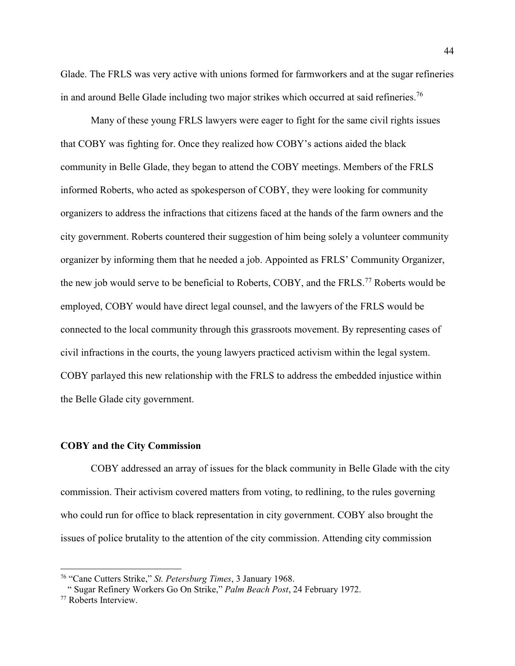Glade. The FRLS was very active with unions formed for farmworkers and at the sugar refineries in and around Belle Glade including two major strikes which occurred at said refineries.<sup>76</sup>

Many of these young FRLS lawyers were eager to fight for the same civil rights issues that COBY was fighting for. Once they realized how COBY's actions aided the black community in Belle Glade, they began to attend the COBY meetings. Members of the FRLS informed Roberts, who acted as spokesperson of COBY, they were looking for community organizers to address the infractions that citizens faced at the hands of the farm owners and the city government. Roberts countered their suggestion of him being solely a volunteer community organizer by informing them that he needed a job. Appointed as FRLS' Community Organizer, the new job would serve to be beneficial to Roberts, COBY, and the FRLS.<sup>77</sup> Roberts would be employed, COBY would have direct legal counsel, and the lawyers of the FRLS would be connected to the local community through this grassroots movement. By representing cases of civil infractions in the courts, the young lawyers practiced activism within the legal system. COBY parlayed this new relationship with the FRLS to address the embedded injustice within the Belle Glade city government.

### **COBY and the City Commission**

COBY addressed an array of issues for the black community in Belle Glade with the city commission. Their activism covered matters from voting, to redlining, to the rules governing who could run for office to black representation in city government. COBY also brought the issues of police brutality to the attention of the city commission. Attending city commission

<sup>76</sup> "Cane Cutters Strike," *St. Petersburg Times*, 3 January 1968.

 <sup>&</sup>quot; Sugar Refinery Workers Go On Strike," *Palm Beach Post*, 24 February 1972.

<sup>77</sup> Roberts Interview.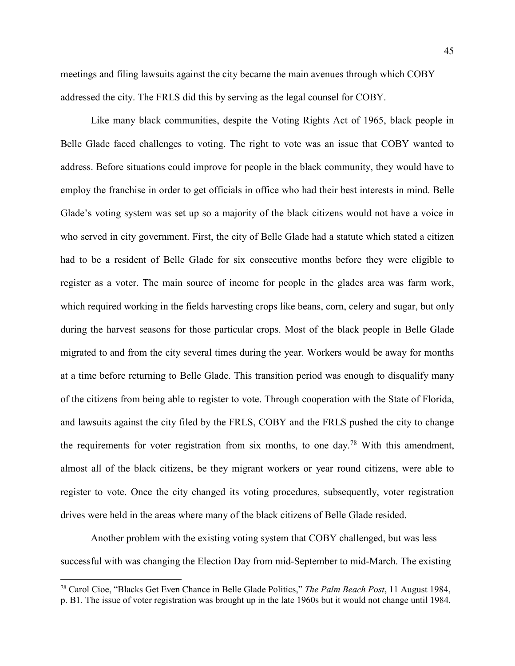meetings and filing lawsuits against the city became the main avenues through which COBY addressed the city. The FRLS did this by serving as the legal counsel for COBY.

Like many black communities, despite the Voting Rights Act of 1965, black people in Belle Glade faced challenges to voting. The right to vote was an issue that COBY wanted to address. Before situations could improve for people in the black community, they would have to employ the franchise in order to get officials in office who had their best interests in mind. Belle Glade's voting system was set up so a majority of the black citizens would not have a voice in who served in city government. First, the city of Belle Glade had a statute which stated a citizen had to be a resident of Belle Glade for six consecutive months before they were eligible to register as a voter. The main source of income for people in the glades area was farm work, which required working in the fields harvesting crops like beans, corn, celery and sugar, but only during the harvest seasons for those particular crops. Most of the black people in Belle Glade migrated to and from the city several times during the year. Workers would be away for months at a time before returning to Belle Glade. This transition period was enough to disqualify many of the citizens from being able to register to vote. Through cooperation with the State of Florida, and lawsuits against the city filed by the FRLS, COBY and the FRLS pushed the city to change the requirements for voter registration from six months, to one day.<sup>78</sup> With this amendment, almost all of the black citizens, be they migrant workers or year round citizens, were able to register to vote. Once the city changed its voting procedures, subsequently, voter registration drives were held in the areas where many of the black citizens of Belle Glade resided.

Another problem with the existing voting system that COBY challenged, but was less successful with was changing the Election Day from mid-September to mid-March. The existing

<sup>78</sup> Carol Cioe, "Blacks Get Even Chance in Belle Glade Politics," *The Palm Beach Post*, 11 August 1984, p. B1. The issue of voter registration was brought up in the late 1960s but it would not change until 1984.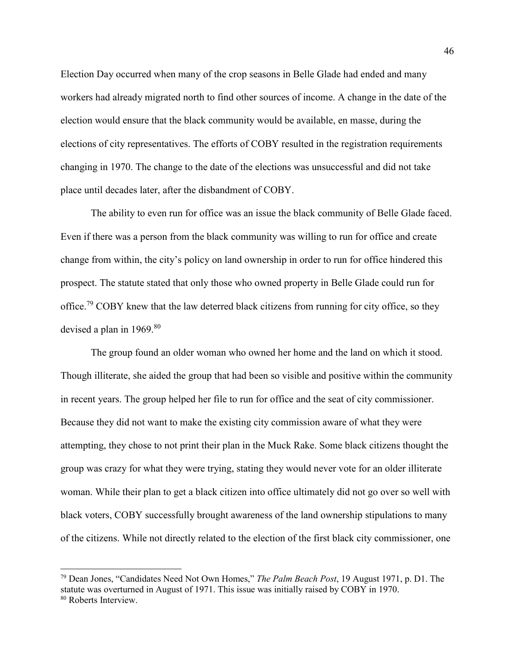Election Day occurred when many of the crop seasons in Belle Glade had ended and many workers had already migrated north to find other sources of income. A change in the date of the election would ensure that the black community would be available, en masse, during the elections of city representatives. The efforts of COBY resulted in the registration requirements changing in 1970. The change to the date of the elections was unsuccessful and did not take place until decades later, after the disbandment of COBY.

The ability to even run for office was an issue the black community of Belle Glade faced. Even if there was a person from the black community was willing to run for office and create change from within, the city's policy on land ownership in order to run for office hindered this prospect. The statute stated that only those who owned property in Belle Glade could run for office.<sup>79</sup> COBY knew that the law deterred black citizens from running for city office, so they devised a plan in  $1969$ .<sup>80</sup>

The group found an older woman who owned her home and the land on which it stood. Though illiterate, she aided the group that had been so visible and positive within the community in recent years. The group helped her file to run for office and the seat of city commissioner. Because they did not want to make the existing city commission aware of what they were attempting, they chose to not print their plan in the Muck Rake. Some black citizens thought the group was crazy for what they were trying, stating they would never vote for an older illiterate woman. While their plan to get a black citizen into office ultimately did not go over so well with black voters, COBY successfully brought awareness of the land ownership stipulations to many of the citizens. While not directly related to the election of the first black city commissioner, one

<sup>79</sup> Dean Jones, "Candidates Need Not Own Homes," *The Palm Beach Post*, 19 August 1971, p. D1. The statute was overturned in August of 1971. This issue was initially raised by COBY in 1970. 80 Roberts Interview.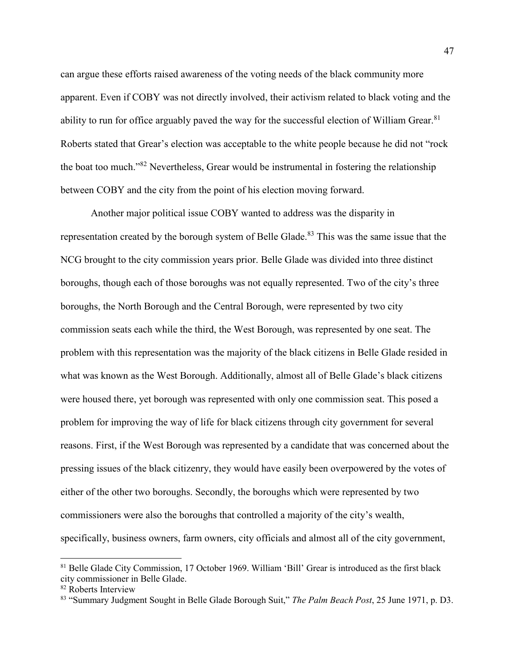can argue these efforts raised awareness of the voting needs of the black community more apparent. Even if COBY was not directly involved, their activism related to black voting and the ability to run for office arguably paved the way for the successful election of William Grear.<sup>81</sup> Roberts stated that Grear's election was acceptable to the white people because he did not "rock the boat too much."<sup>82</sup> Nevertheless, Grear would be instrumental in fostering the relationship between COBY and the city from the point of his election moving forward.

Another major political issue COBY wanted to address was the disparity in representation created by the borough system of Belle Glade.<sup>83</sup> This was the same issue that the NCG brought to the city commission years prior. Belle Glade was divided into three distinct boroughs, though each of those boroughs was not equally represented. Two of the city's three boroughs, the North Borough and the Central Borough, were represented by two city commission seats each while the third, the West Borough, was represented by one seat. The problem with this representation was the majority of the black citizens in Belle Glade resided in what was known as the West Borough. Additionally, almost all of Belle Glade's black citizens were housed there, yet borough was represented with only one commission seat. This posed a problem for improving the way of life for black citizens through city government for several reasons. First, if the West Borough was represented by a candidate that was concerned about the pressing issues of the black citizenry, they would have easily been overpowered by the votes of either of the other two boroughs. Secondly, the boroughs which were represented by two commissioners were also the boroughs that controlled a majority of the city's wealth, specifically, business owners, farm owners, city officials and almost all of the city government,

<sup>81</sup> Belle Glade City Commission, 17 October 1969. William 'Bill' Grear is introduced as the first black city commissioner in Belle Glade.

<sup>82</sup> Roberts Interview

<sup>83</sup> "Summary Judgment Sought in Belle Glade Borough Suit," *The Palm Beach Post*, 25 June 1971, p. D3.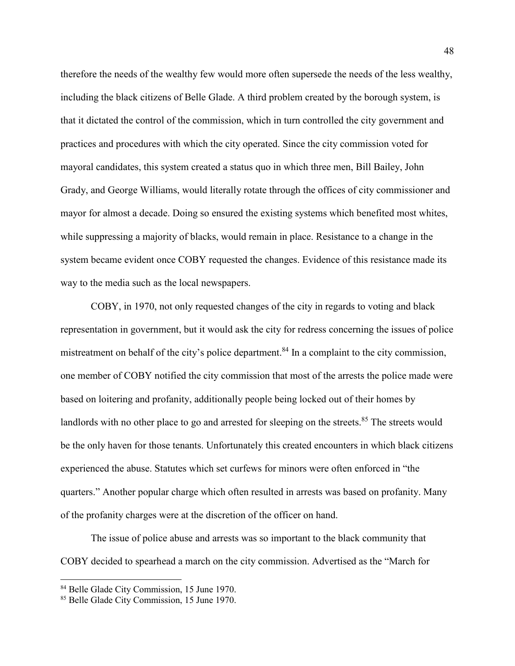therefore the needs of the wealthy few would more often supersede the needs of the less wealthy, including the black citizens of Belle Glade. A third problem created by the borough system, is that it dictated the control of the commission, which in turn controlled the city government and practices and procedures with which the city operated. Since the city commission voted for mayoral candidates, this system created a status quo in which three men, Bill Bailey, John Grady, and George Williams, would literally rotate through the offices of city commissioner and mayor for almost a decade. Doing so ensured the existing systems which benefited most whites, while suppressing a majority of blacks, would remain in place. Resistance to a change in the system became evident once COBY requested the changes. Evidence of this resistance made its way to the media such as the local newspapers.

COBY, in 1970, not only requested changes of the city in regards to voting and black representation in government, but it would ask the city for redress concerning the issues of police mistreatment on behalf of the city's police department.<sup>84</sup> In a complaint to the city commission, one member of COBY notified the city commission that most of the arrests the police made were based on loitering and profanity, additionally people being locked out of their homes by landlords with no other place to go and arrested for sleeping on the streets.<sup>85</sup> The streets would be the only haven for those tenants. Unfortunately this created encounters in which black citizens experienced the abuse. Statutes which set curfews for minors were often enforced in "the quarters." Another popular charge which often resulted in arrests was based on profanity. Many of the profanity charges were at the discretion of the officer on hand.

The issue of police abuse and arrests was so important to the black community that COBY decided to spearhead a march on the city commission. Advertised as the "March for

<sup>84</sup> Belle Glade City Commission, 15 June 1970.

<sup>&</sup>lt;sup>85</sup> Belle Glade City Commission, 15 June 1970.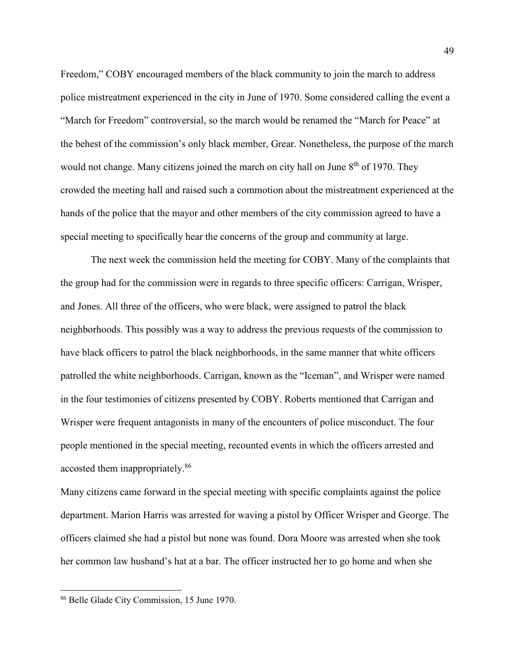Freedom," COBY encouraged members of the black community to join the march to address police mistreatment experienced in the city in June of 1970. Some considered calling the event a "March for Freedom" controversial, so the march would be renamed the "March for Peace" at the behest of the commission's only black member, Grear. Nonetheless, the purpose of the march would not change. Many citizens joined the march on city hall on June 8<sup>th</sup> of 1970. They crowded the meeting hall and raised such a commotion about the mistreatment experienced at the hands of the police that the mayor and other members of the city commission agreed to have a special meeting to specifically hear the concerns of the group and community at large.

 The next week the commission held the meeting for COBY. Many of the complaints that the group had for the commission were in regards to three specific officers: Carrigan, Wrisper, and Jones. All three of the officers, who were black, were assigned to patrol the black neighborhoods. This possibly was a way to address the previous requests of the commission to have black officers to patrol the black neighborhoods, in the same manner that white officers patrolled the white neighborhoods. Carrigan, known as the "Iceman", and Wrisper were named in the four testimonies of citizens presented by COBY. Roberts mentioned that Carrigan and Wrisper were frequent antagonists in many of the encounters of police misconduct. The four people mentioned in the special meeting, recounted events in which the officers arrested and accosted them inappropriately.<sup>86</sup>

Many citizens came forward in the special meeting with specific complaints against the police department. Marion Harris was arrested for waving a pistol by Officer Wrisper and George. The officers claimed she had a pistol but none was found. Dora Moore was arrested when she took her common law husband's hat at a bar. The officer instructed her to go home and when she

<sup>86</sup> Belle Glade City Commission, 15 June 1970.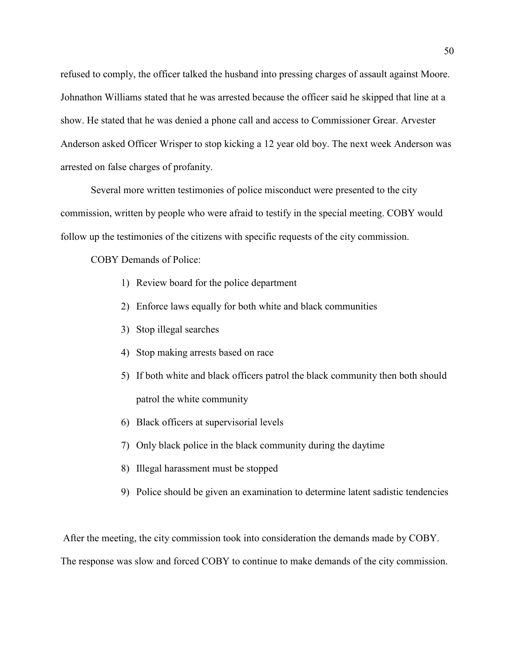refused to comply, the officer talked the husband into pressing charges of assault against Moore. Johnathon Williams stated that he was arrested because the officer said he skipped that line at a show. He stated that he was denied a phone call and access to Commissioner Grear. Arvester Anderson asked Officer Wrisper to stop kicking a 12 year old boy. The next week Anderson was arrested on false charges of profanity.

 Several more written testimonies of police misconduct were presented to the city commission, written by people who were afraid to testify in the special meeting. COBY would follow up the testimonies of the citizens with specific requests of the city commission.

COBY Demands of Police:

- 1) Review board for the police department
- 2) Enforce laws equally for both white and black communities
- 3) Stop illegal searches
- 4) Stop making arrests based on race
- 5) If both white and black officers patrol the black community then both should patrol the white community
- 6) Black officers at supervisorial levels
- 7) Only black police in the black community during the daytime
- 8) Illegal harassment must be stopped
- 9) Police should be given an examination to determine latent sadistic tendencies

After the meeting, the city commission took into consideration the demands made by COBY.

The response was slow and forced COBY to continue to make demands of the city commission.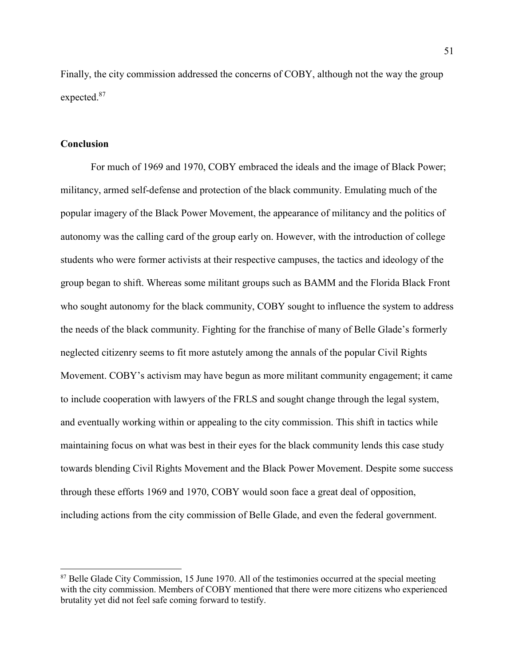Finally, the city commission addressed the concerns of COBY, although not the way the group expected.<sup>87</sup>

# **Conclusion**

l

For much of 1969 and 1970, COBY embraced the ideals and the image of Black Power; militancy, armed self-defense and protection of the black community. Emulating much of the popular imagery of the Black Power Movement, the appearance of militancy and the politics of autonomy was the calling card of the group early on. However, with the introduction of college students who were former activists at their respective campuses, the tactics and ideology of the group began to shift. Whereas some militant groups such as BAMM and the Florida Black Front who sought autonomy for the black community, COBY sought to influence the system to address the needs of the black community. Fighting for the franchise of many of Belle Glade's formerly neglected citizenry seems to fit more astutely among the annals of the popular Civil Rights Movement. COBY's activism may have begun as more militant community engagement; it came to include cooperation with lawyers of the FRLS and sought change through the legal system, and eventually working within or appealing to the city commission. This shift in tactics while maintaining focus on what was best in their eyes for the black community lends this case study towards blending Civil Rights Movement and the Black Power Movement. Despite some success through these efforts 1969 and 1970, COBY would soon face a great deal of opposition, including actions from the city commission of Belle Glade, and even the federal government.

<sup>&</sup>lt;sup>87</sup> Belle Glade City Commission, 15 June 1970. All of the testimonies occurred at the special meeting with the city commission. Members of COBY mentioned that there were more citizens who experienced brutality yet did not feel safe coming forward to testify.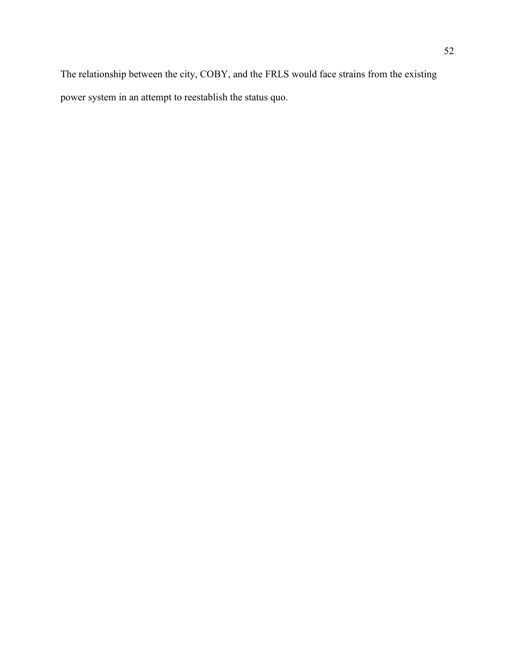The relationship between the city, COBY, and the FRLS would face strains from the existing power system in an attempt to reestablish the status quo.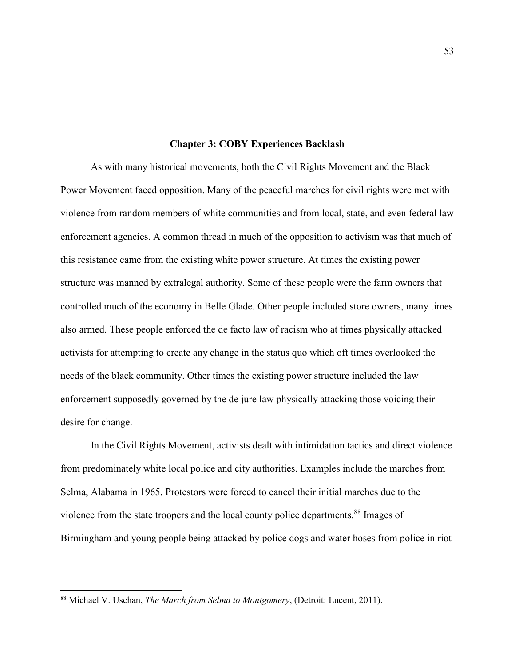#### **Chapter 3: COBY Experiences Backlash**

As with many historical movements, both the Civil Rights Movement and the Black Power Movement faced opposition. Many of the peaceful marches for civil rights were met with violence from random members of white communities and from local, state, and even federal law enforcement agencies. A common thread in much of the opposition to activism was that much of this resistance came from the existing white power structure. At times the existing power structure was manned by extralegal authority. Some of these people were the farm owners that controlled much of the economy in Belle Glade. Other people included store owners, many times also armed. These people enforced the de facto law of racism who at times physically attacked activists for attempting to create any change in the status quo which oft times overlooked the needs of the black community. Other times the existing power structure included the law enforcement supposedly governed by the de jure law physically attacking those voicing their desire for change.

In the Civil Rights Movement, activists dealt with intimidation tactics and direct violence from predominately white local police and city authorities. Examples include the marches from Selma, Alabama in 1965. Protestors were forced to cancel their initial marches due to the violence from the state troopers and the local county police departments.<sup>88</sup> Images of Birmingham and young people being attacked by police dogs and water hoses from police in riot

<sup>88</sup> Michael V. Uschan, *The March from Selma to Montgomery*, (Detroit: Lucent, 2011).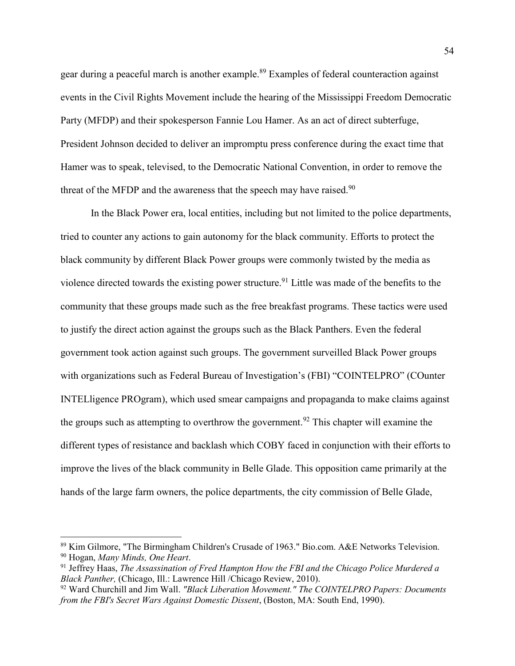gear during a peaceful march is another example.<sup>89</sup> Examples of federal counteraction against events in the Civil Rights Movement include the hearing of the Mississippi Freedom Democratic Party (MFDP) and their spokesperson Fannie Lou Hamer. As an act of direct subterfuge, President Johnson decided to deliver an impromptu press conference during the exact time that Hamer was to speak, televised, to the Democratic National Convention, in order to remove the threat of the MFDP and the awareness that the speech may have raised. $90$ 

In the Black Power era, local entities, including but not limited to the police departments, tried to counter any actions to gain autonomy for the black community. Efforts to protect the black community by different Black Power groups were commonly twisted by the media as violence directed towards the existing power structure.<sup>91</sup> Little was made of the benefits to the community that these groups made such as the free breakfast programs. These tactics were used to justify the direct action against the groups such as the Black Panthers. Even the federal government took action against such groups. The government surveilled Black Power groups with organizations such as Federal Bureau of Investigation's (FBI) "COINTELPRO" (COunter INTELligence PROgram), which used smear campaigns and propaganda to make claims against the groups such as attempting to overthrow the government.<sup>92</sup> This chapter will examine the different types of resistance and backlash which COBY faced in conjunction with their efforts to improve the lives of the black community in Belle Glade. This opposition came primarily at the hands of the large farm owners, the police departments, the city commission of Belle Glade,

<sup>89</sup> Kim Gilmore, "The Birmingham Children's Crusade of 1963." Bio.com. A&E Networks Television. <sup>90</sup> Hogan, *Many Minds, One Heart*.

<sup>91</sup> Jeffrey Haas, *The Assassination of Fred Hampton How the FBI and the Chicago Police Murdered a Black Panther,* (Chicago, Ill.: Lawrence Hill /Chicago Review, 2010).

<sup>92</sup> Ward Churchill and Jim Wall. *"Black Liberation Movement." The COINTELPRO Papers: Documents from the FBI's Secret Wars Against Domestic Dissent*, (Boston, MA: South End, 1990).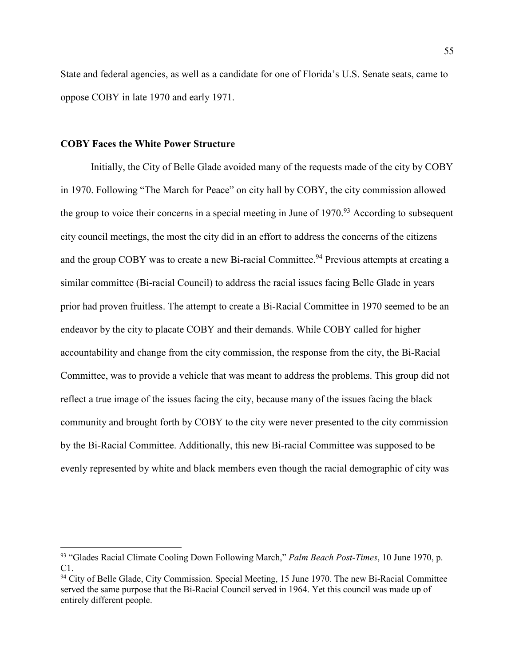State and federal agencies, as well as a candidate for one of Florida's U.S. Senate seats, came to oppose COBY in late 1970 and early 1971.

## **COBY Faces the White Power Structure**

 $\overline{a}$ 

Initially, the City of Belle Glade avoided many of the requests made of the city by COBY in 1970. Following "The March for Peace" on city hall by COBY, the city commission allowed the group to voice their concerns in a special meeting in June of  $1970<sup>93</sup>$  According to subsequent city council meetings, the most the city did in an effort to address the concerns of the citizens and the group COBY was to create a new Bi-racial Committee.<sup>94</sup> Previous attempts at creating a similar committee (Bi-racial Council) to address the racial issues facing Belle Glade in years prior had proven fruitless. The attempt to create a Bi-Racial Committee in 1970 seemed to be an endeavor by the city to placate COBY and their demands. While COBY called for higher accountability and change from the city commission, the response from the city, the Bi-Racial Committee, was to provide a vehicle that was meant to address the problems. This group did not reflect a true image of the issues facing the city, because many of the issues facing the black community and brought forth by COBY to the city were never presented to the city commission by the Bi-Racial Committee. Additionally, this new Bi-racial Committee was supposed to be evenly represented by white and black members even though the racial demographic of city was

<sup>93</sup> "Glades Racial Climate Cooling Down Following March," *Palm Beach Post-Times*, 10 June 1970, p. C1.

<sup>&</sup>lt;sup>94</sup> City of Belle Glade, City Commission. Special Meeting, 15 June 1970. The new Bi-Racial Committee served the same purpose that the Bi-Racial Council served in 1964. Yet this council was made up of entirely different people.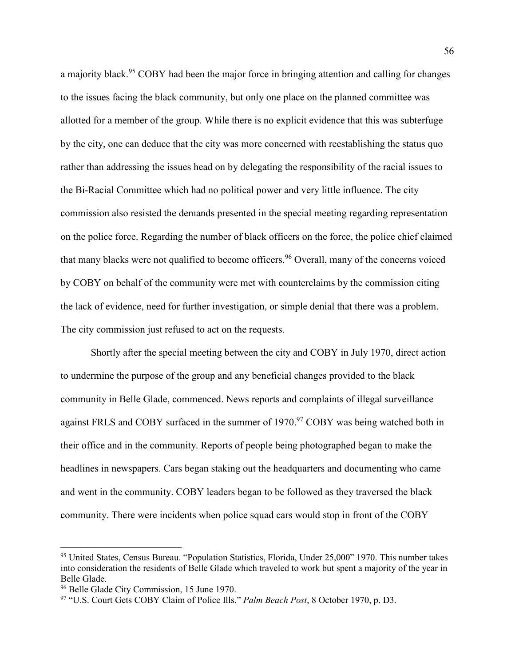a majority black.<sup>95</sup> COBY had been the major force in bringing attention and calling for changes to the issues facing the black community, but only one place on the planned committee was allotted for a member of the group. While there is no explicit evidence that this was subterfuge by the city, one can deduce that the city was more concerned with reestablishing the status quo rather than addressing the issues head on by delegating the responsibility of the racial issues to the Bi-Racial Committee which had no political power and very little influence. The city commission also resisted the demands presented in the special meeting regarding representation on the police force. Regarding the number of black officers on the force, the police chief claimed that many blacks were not qualified to become officers.<sup>96</sup> Overall, many of the concerns voiced by COBY on behalf of the community were met with counterclaims by the commission citing the lack of evidence, need for further investigation, or simple denial that there was a problem. The city commission just refused to act on the requests.

Shortly after the special meeting between the city and COBY in July 1970, direct action to undermine the purpose of the group and any beneficial changes provided to the black community in Belle Glade, commenced. News reports and complaints of illegal surveillance against FRLS and COBY surfaced in the summer of 1970.<sup>97</sup> COBY was being watched both in their office and in the community. Reports of people being photographed began to make the headlines in newspapers. Cars began staking out the headquarters and documenting who came and went in the community. COBY leaders began to be followed as they traversed the black community. There were incidents when police squad cars would stop in front of the COBY

<sup>&</sup>lt;sup>95</sup> United States, Census Bureau. "Population Statistics, Florida, Under 25,000" 1970. This number takes into consideration the residents of Belle Glade which traveled to work but spent a majority of the year in Belle Glade.

<sup>96</sup> Belle Glade City Commission, 15 June 1970.

<sup>97</sup> "U.S. Court Gets COBY Claim of Police Ills," *Palm Beach Post*, 8 October 1970, p. D3.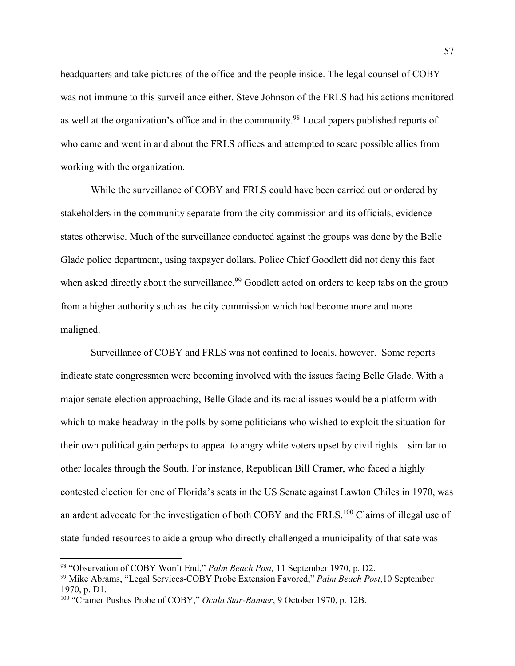headquarters and take pictures of the office and the people inside. The legal counsel of COBY was not immune to this surveillance either. Steve Johnson of the FRLS had his actions monitored as well at the organization's office and in the community.<sup>98</sup> Local papers published reports of who came and went in and about the FRLS offices and attempted to scare possible allies from working with the organization.

While the surveillance of COBY and FRLS could have been carried out or ordered by stakeholders in the community separate from the city commission and its officials, evidence states otherwise. Much of the surveillance conducted against the groups was done by the Belle Glade police department, using taxpayer dollars. Police Chief Goodlett did not deny this fact when asked directly about the surveillance.<sup>99</sup> Goodlett acted on orders to keep tabs on the group from a higher authority such as the city commission which had become more and more maligned.

Surveillance of COBY and FRLS was not confined to locals, however. Some reports indicate state congressmen were becoming involved with the issues facing Belle Glade. With a major senate election approaching, Belle Glade and its racial issues would be a platform with which to make headway in the polls by some politicians who wished to exploit the situation for their own political gain perhaps to appeal to angry white voters upset by civil rights – similar to other locales through the South. For instance, Republican Bill Cramer, who faced a highly contested election for one of Florida's seats in the US Senate against Lawton Chiles in 1970, was an ardent advocate for the investigation of both COBY and the FRLS.<sup>100</sup> Claims of illegal use of state funded resources to aide a group who directly challenged a municipality of that sate was

<sup>98</sup> "Observation of COBY Won't End," *Palm Beach Post,* 11 September 1970, p. D2.

<sup>99</sup> Mike Abrams, "Legal Services-COBY Probe Extension Favored," *Palm Beach Post*,10 September 1970, p. D1.

<sup>100</sup> "Cramer Pushes Probe of COBY," *Ocala Star-Banner*, 9 October 1970, p. 12B.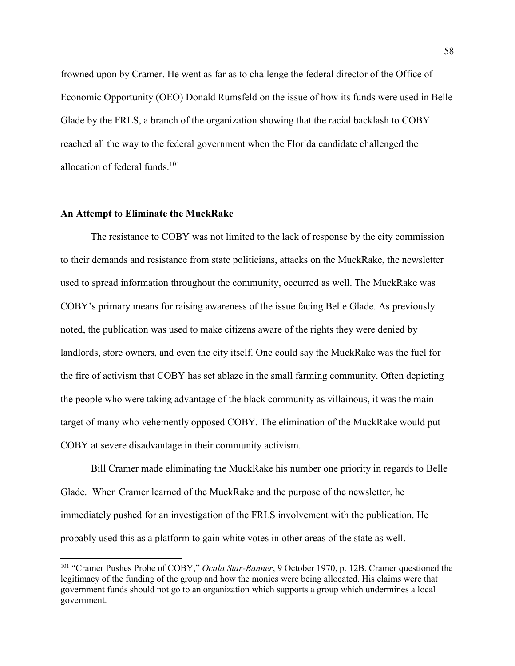frowned upon by Cramer. He went as far as to challenge the federal director of the Office of Economic Opportunity (OEO) Donald Rumsfeld on the issue of how its funds were used in Belle Glade by the FRLS, a branch of the organization showing that the racial backlash to COBY reached all the way to the federal government when the Florida candidate challenged the allocation of federal funds. $101$ 

### **An Attempt to Eliminate the MuckRake**

l

The resistance to COBY was not limited to the lack of response by the city commission to their demands and resistance from state politicians, attacks on the MuckRake, the newsletter used to spread information throughout the community, occurred as well. The MuckRake was COBY's primary means for raising awareness of the issue facing Belle Glade. As previously noted, the publication was used to make citizens aware of the rights they were denied by landlords, store owners, and even the city itself. One could say the MuckRake was the fuel for the fire of activism that COBY has set ablaze in the small farming community. Often depicting the people who were taking advantage of the black community as villainous, it was the main target of many who vehemently opposed COBY. The elimination of the MuckRake would put COBY at severe disadvantage in their community activism.

Bill Cramer made eliminating the MuckRake his number one priority in regards to Belle Glade. When Cramer learned of the MuckRake and the purpose of the newsletter, he immediately pushed for an investigation of the FRLS involvement with the publication. He probably used this as a platform to gain white votes in other areas of the state as well.

<sup>101</sup> "Cramer Pushes Probe of COBY," *Ocala Star-Banner*, 9 October 1970, p. 12B. Cramer questioned the legitimacy of the funding of the group and how the monies were being allocated. His claims were that government funds should not go to an organization which supports a group which undermines a local government.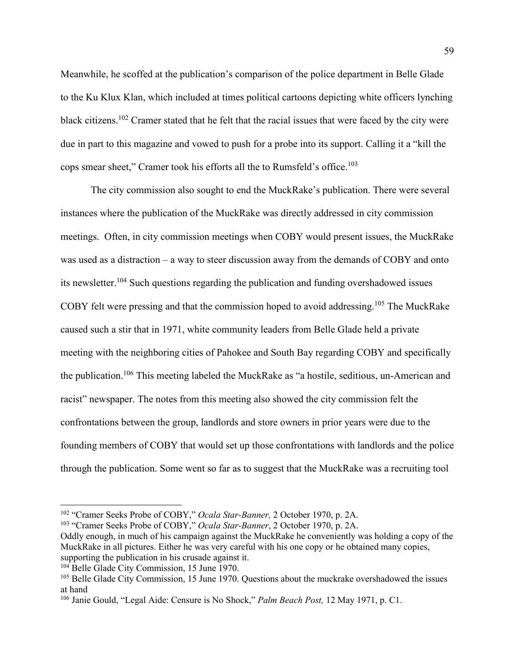Meanwhile, he scoffed at the publication's comparison of the police department in Belle Glade to the Ku Klux Klan, which included at times political cartoons depicting white officers lynching black citizens.<sup>102</sup> Cramer stated that he felt that the racial issues that were faced by the city were due in part to this magazine and vowed to push for a probe into its support. Calling it a "kill the cops smear sheet," Cramer took his efforts all the to Rumsfeld's office.<sup>103</sup>

The city commission also sought to end the MuckRake's publication. There were several instances where the publication of the MuckRake was directly addressed in city commission meetings. Often, in city commission meetings when COBY would present issues, the MuckRake was used as a distraction – a way to steer discussion away from the demands of COBY and onto its newsletter.<sup>104</sup> Such questions regarding the publication and funding overshadowed issues COBY felt were pressing and that the commission hoped to avoid addressing.<sup>105</sup> The MuckRake caused such a stir that in 1971, white community leaders from Belle Glade held a private meeting with the neighboring cities of Pahokee and South Bay regarding COBY and specifically the publication.<sup>106</sup> This meeting labeled the MuckRake as "a hostile, seditious, un-American and racist" newspaper. The notes from this meeting also showed the city commission felt the confrontations between the group, landlords and store owners in prior years were due to the founding members of COBY that would set up those confrontations with landlords and the police through the publication. Some went so far as to suggest that the MuckRake was a recruiting tool

<sup>102</sup> "Cramer Seeks Probe of COBY," *Ocala Star-Banner,* 2 October 1970, p. 2A.

<sup>103</sup> "Cramer Seeks Probe of COBY," *Ocala Star-Banner*, 2 October 1970, p. 2A.

Oddly enough, in much of his campaign against the MuckRake he conveniently was holding a copy of the MuckRake in all pictures. Either he was very careful with his one copy or he obtained many copies, supporting the publication in his crusade against it.

<sup>&</sup>lt;sup>104</sup> Belle Glade City Commission, 15 June 1970.

<sup>&</sup>lt;sup>105</sup> Belle Glade City Commission, 15 June 1970. Questions about the muckrake overshadowed the issues at hand

<sup>106</sup> Janie Gould, "Legal Aide: Censure is No Shock," *Palm Beach Post,* 12 May 1971, p. C1.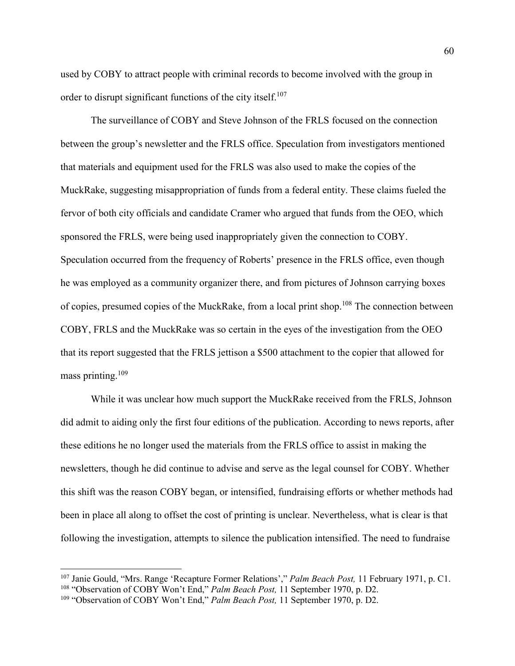used by COBY to attract people with criminal records to become involved with the group in order to disrupt significant functions of the city itself.<sup>107</sup>

The surveillance of COBY and Steve Johnson of the FRLS focused on the connection between the group's newsletter and the FRLS office. Speculation from investigators mentioned that materials and equipment used for the FRLS was also used to make the copies of the MuckRake, suggesting misappropriation of funds from a federal entity. These claims fueled the fervor of both city officials and candidate Cramer who argued that funds from the OEO, which sponsored the FRLS, were being used inappropriately given the connection to COBY. Speculation occurred from the frequency of Roberts' presence in the FRLS office, even though he was employed as a community organizer there, and from pictures of Johnson carrying boxes of copies, presumed copies of the MuckRake, from a local print shop.<sup>108</sup> The connection between COBY, FRLS and the MuckRake was so certain in the eyes of the investigation from the OEO that its report suggested that the FRLS jettison a \$500 attachment to the copier that allowed for mass printing. $109$ 

While it was unclear how much support the MuckRake received from the FRLS, Johnson did admit to aiding only the first four editions of the publication. According to news reports, after these editions he no longer used the materials from the FRLS office to assist in making the newsletters, though he did continue to advise and serve as the legal counsel for COBY. Whether this shift was the reason COBY began, or intensified, fundraising efforts or whether methods had been in place all along to offset the cost of printing is unclear. Nevertheless, what is clear is that following the investigation, attempts to silence the publication intensified. The need to fundraise

<sup>107</sup> Janie Gould, "Mrs. Range 'Recapture Former Relations'," *Palm Beach Post,* 11 February 1971, p. C1. <sup>108</sup> "Observation of COBY Won't End," *Palm Beach Post,* 11 September 1970, p. D2.

<sup>109</sup> "Observation of COBY Won't End," *Palm Beach Post,* 11 September 1970, p. D2.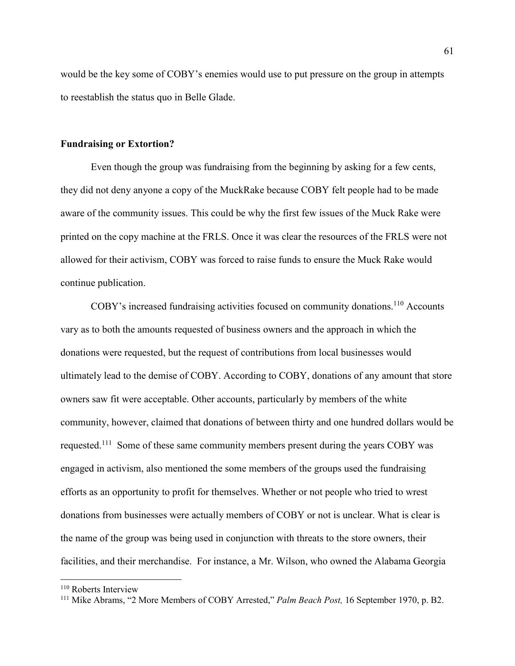would be the key some of COBY's enemies would use to put pressure on the group in attempts to reestablish the status quo in Belle Glade.

### **Fundraising or Extortion?**

Even though the group was fundraising from the beginning by asking for a few cents, they did not deny anyone a copy of the MuckRake because COBY felt people had to be made aware of the community issues. This could be why the first few issues of the Muck Rake were printed on the copy machine at the FRLS. Once it was clear the resources of the FRLS were not allowed for their activism, COBY was forced to raise funds to ensure the Muck Rake would continue publication.

COBY's increased fundraising activities focused on community donations.<sup>110</sup> Accounts vary as to both the amounts requested of business owners and the approach in which the donations were requested, but the request of contributions from local businesses would ultimately lead to the demise of COBY. According to COBY, donations of any amount that store owners saw fit were acceptable. Other accounts, particularly by members of the white community, however, claimed that donations of between thirty and one hundred dollars would be requested.<sup>111</sup> Some of these same community members present during the years COBY was engaged in activism, also mentioned the some members of the groups used the fundraising efforts as an opportunity to profit for themselves. Whether or not people who tried to wrest donations from businesses were actually members of COBY or not is unclear. What is clear is the name of the group was being used in conjunction with threats to the store owners, their facilities, and their merchandise. For instance, a Mr. Wilson, who owned the Alabama Georgia

<sup>110</sup> Roberts Interview

<sup>111</sup> Mike Abrams, "2 More Members of COBY Arrested," *Palm Beach Post,* 16 September 1970, p. B2.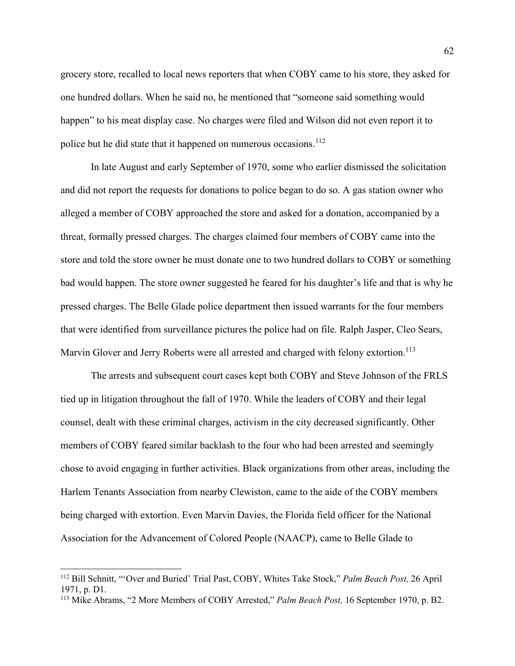grocery store, recalled to local news reporters that when COBY came to his store, they asked for one hundred dollars. When he said no, he mentioned that "someone said something would happen" to his meat display case. No charges were filed and Wilson did not even report it to police but he did state that it happened on numerous occasions.<sup>112</sup>

In late August and early September of 1970, some who earlier dismissed the solicitation and did not report the requests for donations to police began to do so. A gas station owner who alleged a member of COBY approached the store and asked for a donation, accompanied by a threat, formally pressed charges. The charges claimed four members of COBY came into the store and told the store owner he must donate one to two hundred dollars to COBY or something bad would happen. The store owner suggested he feared for his daughter's life and that is why he pressed charges. The Belle Glade police department then issued warrants for the four members that were identified from surveillance pictures the police had on file. Ralph Jasper, Cleo Sears, Marvin Glover and Jerry Roberts were all arrested and charged with felony extortion.<sup>113</sup>

The arrests and subsequent court cases kept both COBY and Steve Johnson of the FRLS tied up in litigation throughout the fall of 1970. While the leaders of COBY and their legal counsel, dealt with these criminal charges, activism in the city decreased significantly. Other members of COBY feared similar backlash to the four who had been arrested and seemingly chose to avoid engaging in further activities. Black organizations from other areas, including the Harlem Tenants Association from nearby Clewiston, came to the aide of the COBY members being charged with extortion. Even Marvin Davies, the Florida field officer for the National Association for the Advancement of Colored People (NAACP), came to Belle Glade to

<sup>112</sup> Bill Schnitt, "'Over and Buried' Trial Past, COBY, Whites Take Stock," *Palm Beach Post,* 26 April 1971, p. D1.

<sup>113</sup> Mike Abrams, "2 More Members of COBY Arrested," *Palm Beach Post,* 16 September 1970, p. B2.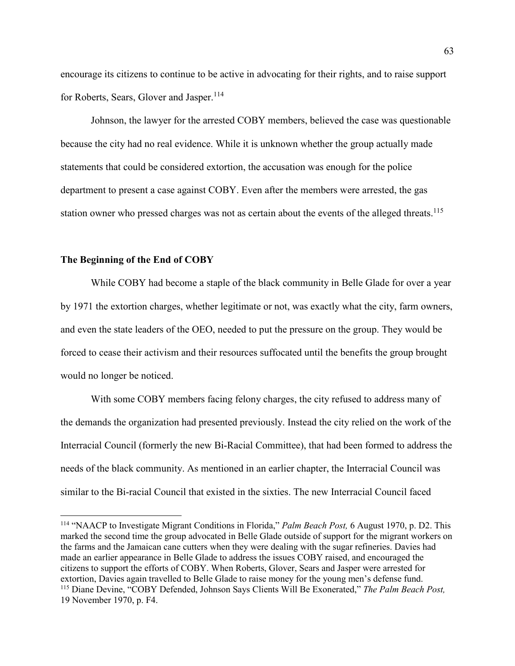encourage its citizens to continue to be active in advocating for their rights, and to raise support for Roberts, Sears, Glover and Jasper.<sup>114</sup>

Johnson, the lawyer for the arrested COBY members, believed the case was questionable because the city had no real evidence. While it is unknown whether the group actually made statements that could be considered extortion, the accusation was enough for the police department to present a case against COBY. Even after the members were arrested, the gas station owner who pressed charges was not as certain about the events of the alleged threats.<sup>115</sup>

## **The Beginning of the End of COBY**

l

While COBY had become a staple of the black community in Belle Glade for over a year by 1971 the extortion charges, whether legitimate or not, was exactly what the city, farm owners, and even the state leaders of the OEO, needed to put the pressure on the group. They would be forced to cease their activism and their resources suffocated until the benefits the group brought would no longer be noticed.

With some COBY members facing felony charges, the city refused to address many of the demands the organization had presented previously. Instead the city relied on the work of the Interracial Council (formerly the new Bi-Racial Committee), that had been formed to address the needs of the black community. As mentioned in an earlier chapter, the Interracial Council was similar to the Bi-racial Council that existed in the sixties. The new Interracial Council faced

<sup>114</sup> "NAACP to Investigate Migrant Conditions in Florida," *Palm Beach Post,* 6 August 1970, p. D2. This marked the second time the group advocated in Belle Glade outside of support for the migrant workers on the farms and the Jamaican cane cutters when they were dealing with the sugar refineries. Davies had made an earlier appearance in Belle Glade to address the issues COBY raised, and encouraged the citizens to support the efforts of COBY. When Roberts, Glover, Sears and Jasper were arrested for extortion, Davies again travelled to Belle Glade to raise money for the young men's defense fund. <sup>115</sup> Diane Devine, "COBY Defended, Johnson Says Clients Will Be Exonerated," *The Palm Beach Post,* 19 November 1970, p. F4.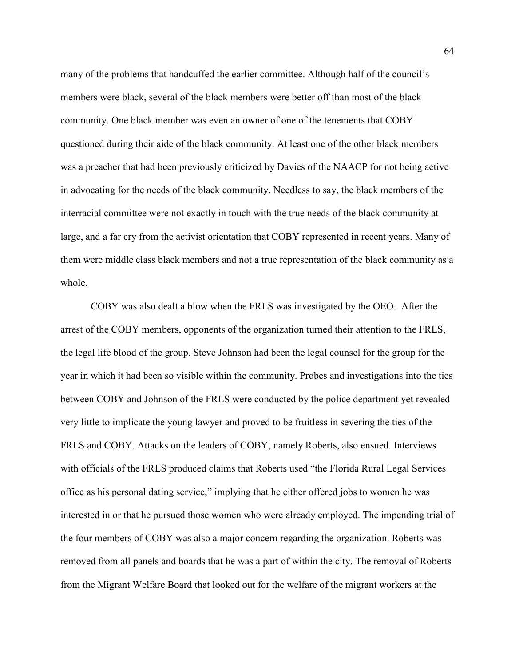many of the problems that handcuffed the earlier committee. Although half of the council's members were black, several of the black members were better off than most of the black community. One black member was even an owner of one of the tenements that COBY questioned during their aide of the black community. At least one of the other black members was a preacher that had been previously criticized by Davies of the NAACP for not being active in advocating for the needs of the black community. Needless to say, the black members of the interracial committee were not exactly in touch with the true needs of the black community at large, and a far cry from the activist orientation that COBY represented in recent years. Many of them were middle class black members and not a true representation of the black community as a whole.

COBY was also dealt a blow when the FRLS was investigated by the OEO. After the arrest of the COBY members, opponents of the organization turned their attention to the FRLS, the legal life blood of the group. Steve Johnson had been the legal counsel for the group for the year in which it had been so visible within the community. Probes and investigations into the ties between COBY and Johnson of the FRLS were conducted by the police department yet revealed very little to implicate the young lawyer and proved to be fruitless in severing the ties of the FRLS and COBY. Attacks on the leaders of COBY, namely Roberts, also ensued. Interviews with officials of the FRLS produced claims that Roberts used "the Florida Rural Legal Services office as his personal dating service," implying that he either offered jobs to women he was interested in or that he pursued those women who were already employed. The impending trial of the four members of COBY was also a major concern regarding the organization. Roberts was removed from all panels and boards that he was a part of within the city. The removal of Roberts from the Migrant Welfare Board that looked out for the welfare of the migrant workers at the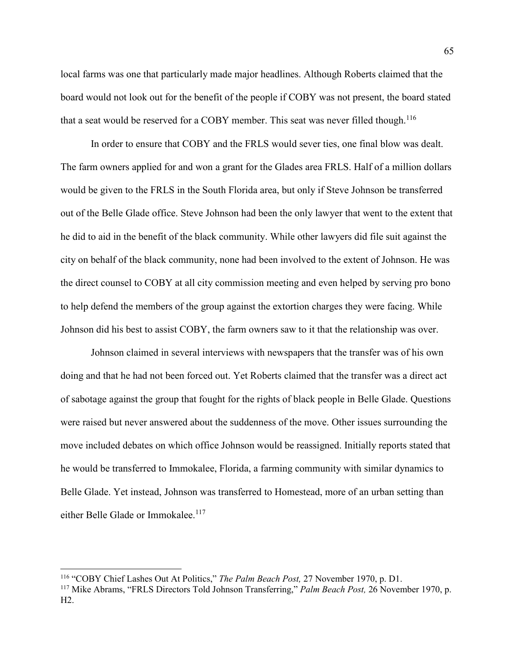local farms was one that particularly made major headlines. Although Roberts claimed that the board would not look out for the benefit of the people if COBY was not present, the board stated that a seat would be reserved for a COBY member. This seat was never filled though.<sup>116</sup>

In order to ensure that COBY and the FRLS would sever ties, one final blow was dealt. The farm owners applied for and won a grant for the Glades area FRLS. Half of a million dollars would be given to the FRLS in the South Florida area, but only if Steve Johnson be transferred out of the Belle Glade office. Steve Johnson had been the only lawyer that went to the extent that he did to aid in the benefit of the black community. While other lawyers did file suit against the city on behalf of the black community, none had been involved to the extent of Johnson. He was the direct counsel to COBY at all city commission meeting and even helped by serving pro bono to help defend the members of the group against the extortion charges they were facing. While Johnson did his best to assist COBY, the farm owners saw to it that the relationship was over.

Johnson claimed in several interviews with newspapers that the transfer was of his own doing and that he had not been forced out. Yet Roberts claimed that the transfer was a direct act of sabotage against the group that fought for the rights of black people in Belle Glade. Questions were raised but never answered about the suddenness of the move. Other issues surrounding the move included debates on which office Johnson would be reassigned. Initially reports stated that he would be transferred to Immokalee, Florida, a farming community with similar dynamics to Belle Glade. Yet instead, Johnson was transferred to Homestead, more of an urban setting than either Belle Glade or Immokalee.<sup>117</sup>

<sup>116</sup> "COBY Chief Lashes Out At Politics," *The Palm Beach Post,* 27 November 1970, p. D1.

<sup>117</sup> Mike Abrams, "FRLS Directors Told Johnson Transferring," *Palm Beach Post,* 26 November 1970, p.  $H2$ .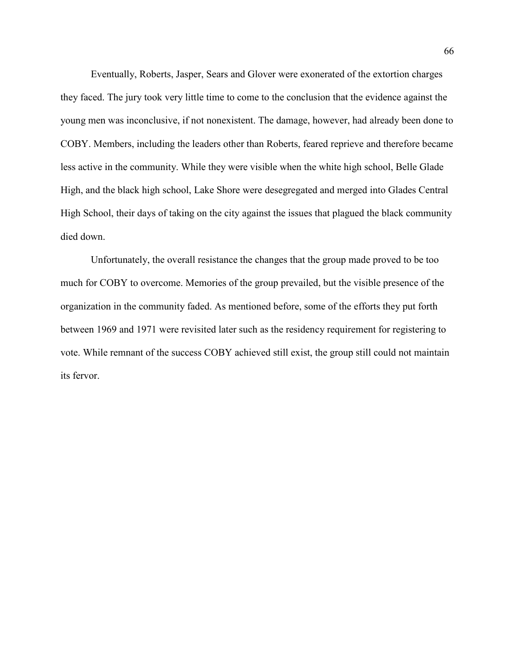Eventually, Roberts, Jasper, Sears and Glover were exonerated of the extortion charges they faced. The jury took very little time to come to the conclusion that the evidence against the young men was inconclusive, if not nonexistent. The damage, however, had already been done to COBY. Members, including the leaders other than Roberts, feared reprieve and therefore became less active in the community. While they were visible when the white high school, Belle Glade High, and the black high school, Lake Shore were desegregated and merged into Glades Central High School, their days of taking on the city against the issues that plagued the black community died down.

Unfortunately, the overall resistance the changes that the group made proved to be too much for COBY to overcome. Memories of the group prevailed, but the visible presence of the organization in the community faded. As mentioned before, some of the efforts they put forth between 1969 and 1971 were revisited later such as the residency requirement for registering to vote. While remnant of the success COBY achieved still exist, the group still could not maintain its fervor.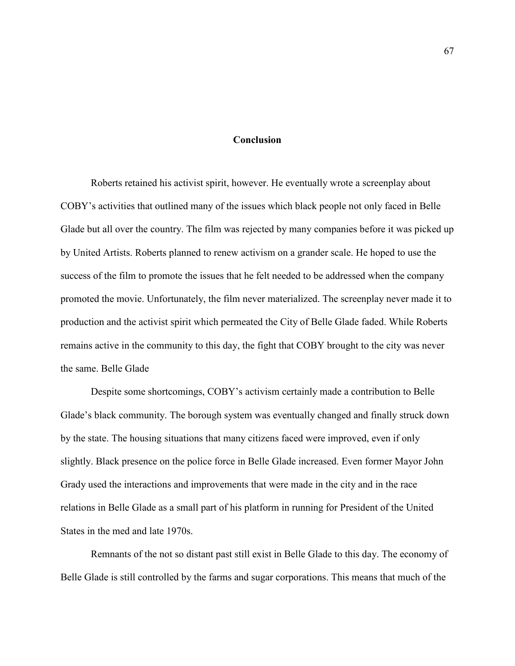### **Conclusion**

Roberts retained his activist spirit, however. He eventually wrote a screenplay about COBY's activities that outlined many of the issues which black people not only faced in Belle Glade but all over the country. The film was rejected by many companies before it was picked up by United Artists. Roberts planned to renew activism on a grander scale. He hoped to use the success of the film to promote the issues that he felt needed to be addressed when the company promoted the movie. Unfortunately, the film never materialized. The screenplay never made it to production and the activist spirit which permeated the City of Belle Glade faded. While Roberts remains active in the community to this day, the fight that COBY brought to the city was never the same. Belle Glade

Despite some shortcomings, COBY's activism certainly made a contribution to Belle Glade's black community. The borough system was eventually changed and finally struck down by the state. The housing situations that many citizens faced were improved, even if only slightly. Black presence on the police force in Belle Glade increased. Even former Mayor John Grady used the interactions and improvements that were made in the city and in the race relations in Belle Glade as a small part of his platform in running for President of the United States in the med and late 1970s.

Remnants of the not so distant past still exist in Belle Glade to this day. The economy of Belle Glade is still controlled by the farms and sugar corporations. This means that much of the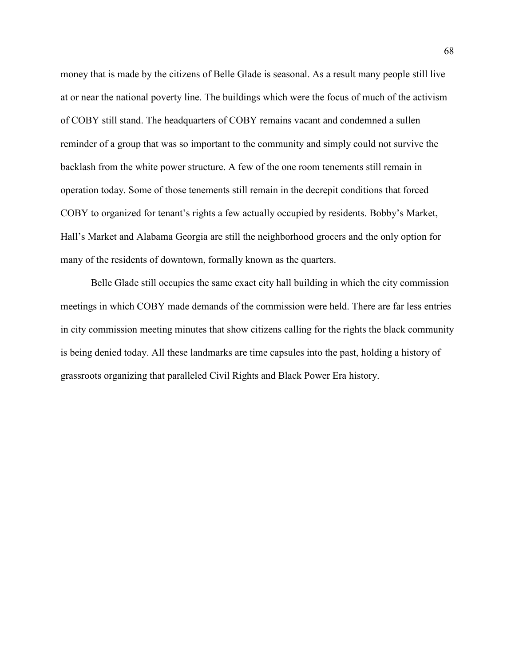money that is made by the citizens of Belle Glade is seasonal. As a result many people still live at or near the national poverty line. The buildings which were the focus of much of the activism of COBY still stand. The headquarters of COBY remains vacant and condemned a sullen reminder of a group that was so important to the community and simply could not survive the backlash from the white power structure. A few of the one room tenements still remain in operation today. Some of those tenements still remain in the decrepit conditions that forced COBY to organized for tenant's rights a few actually occupied by residents. Bobby's Market, Hall's Market and Alabama Georgia are still the neighborhood grocers and the only option for many of the residents of downtown, formally known as the quarters.

Belle Glade still occupies the same exact city hall building in which the city commission meetings in which COBY made demands of the commission were held. There are far less entries in city commission meeting minutes that show citizens calling for the rights the black community is being denied today. All these landmarks are time capsules into the past, holding a history of grassroots organizing that paralleled Civil Rights and Black Power Era history.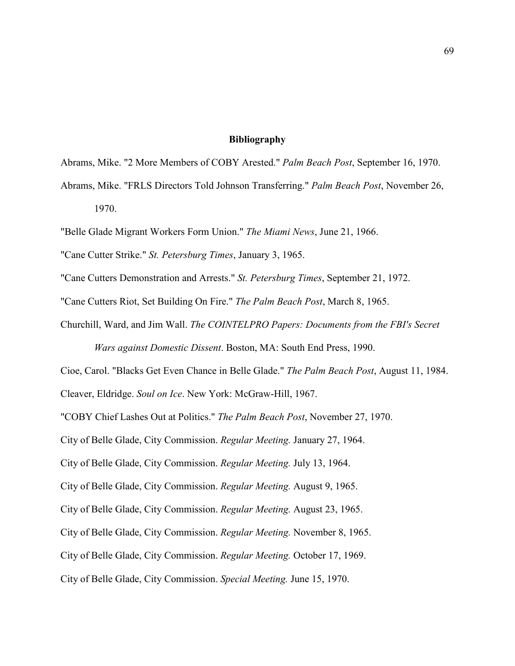## **Bibliography**

Abrams, Mike. "2 More Members of COBY Arested." *Palm Beach Post*, September 16, 1970.

Abrams, Mike. "FRLS Directors Told Johnson Transferring." *Palm Beach Post*, November 26, 1970.

"Belle Glade Migrant Workers Form Union." *The Miami News*, June 21, 1966.

"Cane Cutter Strike." *St. Petersburg Times*, January 3, 1965.

"Cane Cutters Demonstration and Arrests." *St. Petersburg Times*, September 21, 1972.

"Cane Cutters Riot, Set Building On Fire." *The Palm Beach Post*, March 8, 1965.

Churchill, Ward, and Jim Wall. *The COINTELPRO Papers: Documents from the FBI's Secret Wars against Domestic Dissent*. Boston, MA: South End Press, 1990.

Cioe, Carol. "Blacks Get Even Chance in Belle Glade." *The Palm Beach Post*, August 11, 1984.

Cleaver, Eldridge. *Soul on Ice*. New York: McGraw-Hill, 1967.

"COBY Chief Lashes Out at Politics." *The Palm Beach Post*, November 27, 1970.

City of Belle Glade, City Commission. *Regular Meeting.* January 27, 1964.

City of Belle Glade, City Commission. *Regular Meeting.* July 13, 1964.

City of Belle Glade, City Commission. *Regular Meeting.* August 9, 1965.

City of Belle Glade, City Commission. *Regular Meeting.* August 23, 1965.

City of Belle Glade, City Commission. *Regular Meeting.* November 8, 1965.

City of Belle Glade, City Commission. *Regular Meeting.* October 17, 1969.

City of Belle Glade, City Commission. *Special Meeting.* June 15, 1970.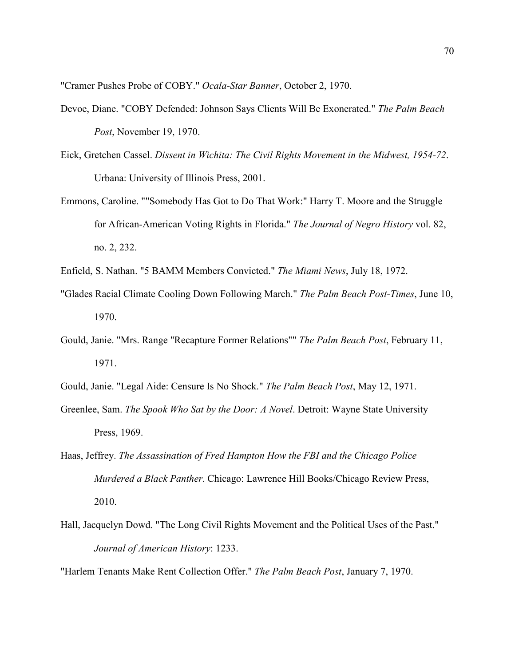"Cramer Pushes Probe of COBY." *Ocala-Star Banner*, October 2, 1970.

- Devoe, Diane. "COBY Defended: Johnson Says Clients Will Be Exonerated." *The Palm Beach Post*, November 19, 1970.
- Eick, Gretchen Cassel. *Dissent in Wichita: The Civil Rights Movement in the Midwest, 1954-72*. Urbana: University of Illinois Press, 2001.
- Emmons, Caroline. ""Somebody Has Got to Do That Work:" Harry T. Moore and the Struggle for African-American Voting Rights in Florida." *The Journal of Negro History* vol. 82, no. 2, 232.
- Enfield, S. Nathan. "5 BAMM Members Convicted." *The Miami News*, July 18, 1972.
- "Glades Racial Climate Cooling Down Following March." *The Palm Beach Post-Times*, June 10, 1970.
- Gould, Janie. "Mrs. Range "Recapture Former Relations"" *The Palm Beach Post*, February 11, 1971.
- Gould, Janie. "Legal Aide: Censure Is No Shock." *The Palm Beach Post*, May 12, 1971.
- Greenlee, Sam. *The Spook Who Sat by the Door: A Novel*. Detroit: Wayne State University Press, 1969.
- Haas, Jeffrey. *The Assassination of Fred Hampton How the FBI and the Chicago Police Murdered a Black Panther*. Chicago: Lawrence Hill Books/Chicago Review Press, 2010.
- Hall, Jacquelyn Dowd. "The Long Civil Rights Movement and the Political Uses of the Past." *Journal of American History*: 1233.

"Harlem Tenants Make Rent Collection Offer." *The Palm Beach Post*, January 7, 1970.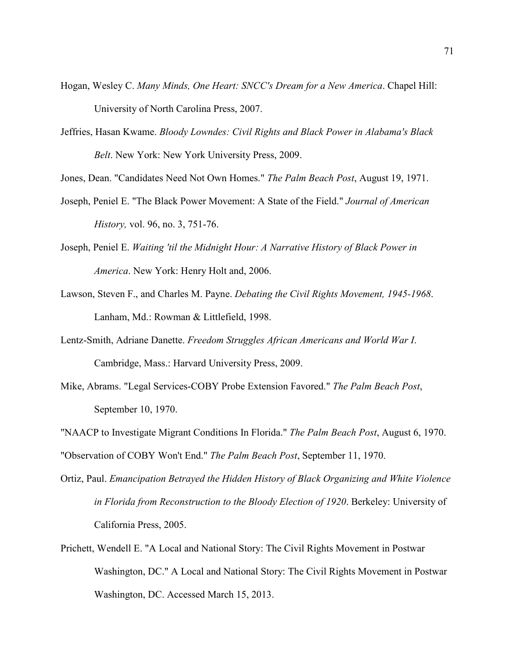- Hogan, Wesley C. *Many Minds, One Heart: SNCC's Dream for a New America*. Chapel Hill: University of North Carolina Press, 2007.
- Jeffries, Hasan Kwame. *Bloody Lowndes: Civil Rights and Black Power in Alabama's Black Belt*. New York: New York University Press, 2009.

Jones, Dean. "Candidates Need Not Own Homes." *The Palm Beach Post*, August 19, 1971.

- Joseph, Peniel E. "The Black Power Movement: A State of the Field." *Journal of American History,* vol. 96, no. 3, 751-76.
- Joseph, Peniel E. *Waiting 'til the Midnight Hour: A Narrative History of Black Power in America*. New York: Henry Holt and, 2006.
- Lawson, Steven F., and Charles M. Payne. *Debating the Civil Rights Movement, 1945-1968*. Lanham, Md.: Rowman & Littlefield, 1998.
- Lentz-Smith, Adriane Danette. *Freedom Struggles African Americans and World War I*. Cambridge, Mass.: Harvard University Press, 2009.
- Mike, Abrams. "Legal Services-COBY Probe Extension Favored." *The Palm Beach Post*, September 10, 1970.
- "NAACP to Investigate Migrant Conditions In Florida." *The Palm Beach Post*, August 6, 1970.

"Observation of COBY Won't End." *The Palm Beach Post*, September 11, 1970.

- Ortiz, Paul. *Emancipation Betrayed the Hidden History of Black Organizing and White Violence in Florida from Reconstruction to the Bloody Election of 1920*. Berkeley: University of California Press, 2005.
- Prichett, Wendell E. "A Local and National Story: The Civil Rights Movement in Postwar Washington, DC." A Local and National Story: The Civil Rights Movement in Postwar Washington, DC. Accessed March 15, 2013.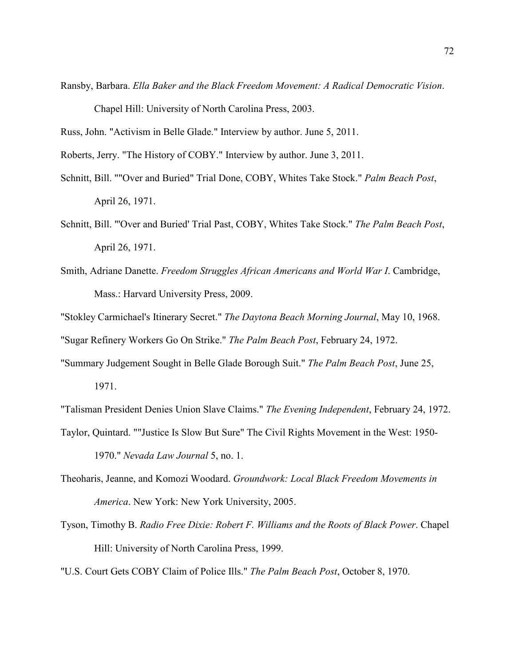Ransby, Barbara. *Ella Baker and the Black Freedom Movement: A Radical Democratic Vision*.

Chapel Hill: University of North Carolina Press, 2003.

Russ, John. "Activism in Belle Glade." Interview by author. June 5, 2011.

Roberts, Jerry. "The History of COBY." Interview by author. June 3, 2011.

- Schnitt, Bill. ""Over and Buried" Trial Done, COBY, Whites Take Stock." *Palm Beach Post*, April 26, 1971.
- Schnitt, Bill. "'Over and Buried' Trial Past, COBY, Whites Take Stock." *The Palm Beach Post*, April 26, 1971.
- Smith, Adriane Danette. *Freedom Struggles African Americans and World War I*. Cambridge, Mass.: Harvard University Press, 2009.

"Stokley Carmichael's Itinerary Secret." *The Daytona Beach Morning Journal*, May 10, 1968. "Sugar Refinery Workers Go On Strike." *The Palm Beach Post*, February 24, 1972.

"Summary Judgement Sought in Belle Glade Borough Suit." *The Palm Beach Post*, June 25,

1971.

"Talisman President Denies Union Slave Claims." *The Evening Independent*, February 24, 1972. Taylor, Quintard. ""Justice Is Slow But Sure" The Civil Rights Movement in the West: 1950- 1970." *Nevada Law Journal* 5, no. 1.

- Theoharis, Jeanne, and Komozi Woodard. *Groundwork: Local Black Freedom Movements in America*. New York: New York University, 2005.
- Tyson, Timothy B. *Radio Free Dixie: Robert F. Williams and the Roots of Black Power*. Chapel Hill: University of North Carolina Press, 1999.
- "U.S. Court Gets COBY Claim of Police Ills." *The Palm Beach Post*, October 8, 1970.